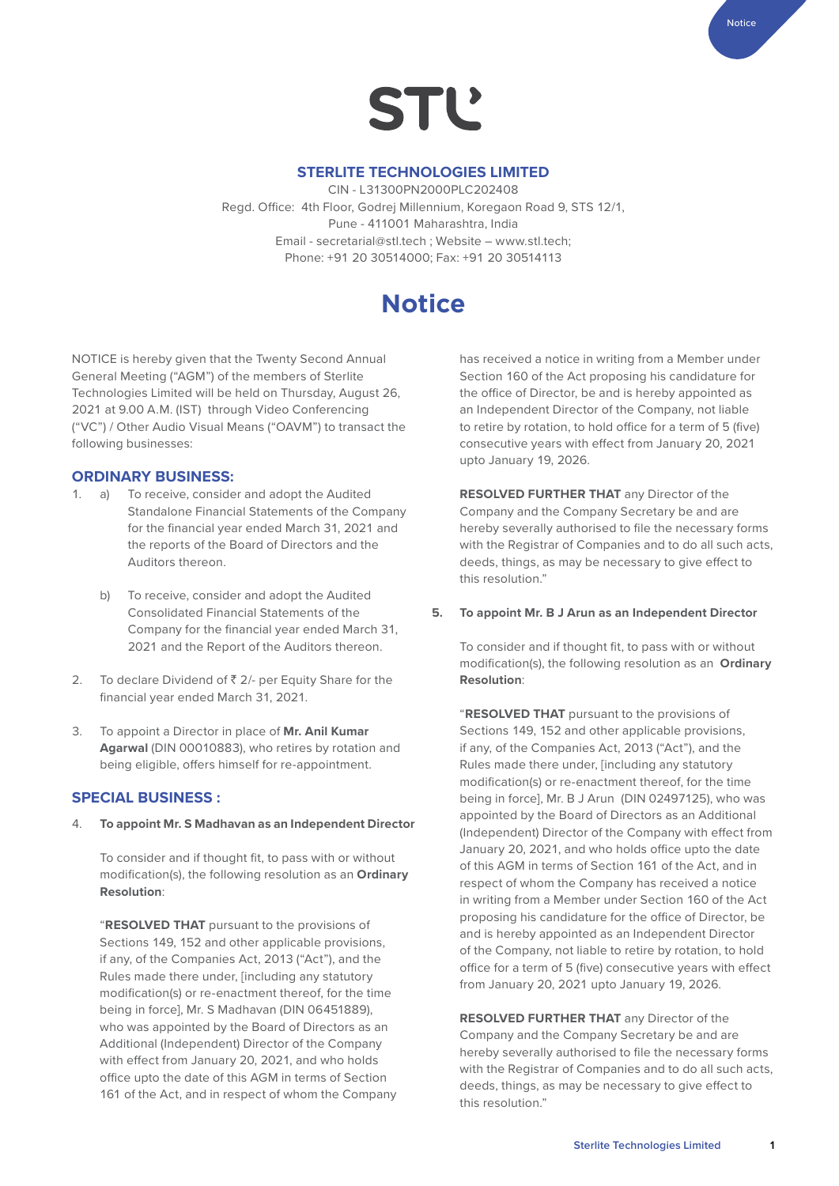

#### **STERLITE TECHNOLOGIES LIMITED**

CIN - L31300PN2000PLC202408 Regd. Office: 4th Floor, Godrej Millennium, Koregaon Road 9, STS 12/1, Pune - 411001 Maharashtra, India Email - secretarial@stl.tech ; Website – [www.stl.tech](http://www.stl.tech); Phone: +91 20 30514000; Fax: +91 20 30514113

# **Notice**

NOTICE is hereby given that the Twenty Second Annual General Meeting ("AGM") of the members of Sterlite Technologies Limited will be held on Thursday, August 26, 2021 at 9.00 A.M. (IST) through Video Conferencing ("VC") / Other Audio Visual Means ("OAVM") to transact the following businesses:

#### **ORDINARY BUSINESS:**

- 1. a) To receive, consider and adopt the Audited Standalone Financial Statements of the Company for the financial year ended March 31, 2021 and the reports of the Board of Directors and the Auditors thereon.
	- b) To receive, consider and adopt the Audited Consolidated Financial Statements of the Company for the financial year ended March 31, 2021 and the Report of the Auditors thereon.
- 2. To declare Dividend of  $\bar{z}$  2/- per Equity Share for the financial year ended March 31, 2021.
- 3. To appoint a Director in place of **Mr. Anil Kumar Agarwal** (DIN 00010883), who retires by rotation and being eligible, offers himself for re-appointment.

#### **SPECIAL BUSINESS :**

4. **To appoint Mr. S Madhavan as an Independent Director** 

To consider and if thought fit, to pass with or without modification(s), the following resolution as an **Ordinary Resolution**:

"**RESOLVED THAT** pursuant to the provisions of Sections 149, 152 and other applicable provisions, if any, of the Companies Act, 2013 ("Act"), and the Rules made there under, [including any statutory modification(s) or re-enactment thereof, for the time being in force], Mr. S Madhavan (DIN 06451889), who was appointed by the Board of Directors as an Additional (Independent) Director of the Company with effect from January 20, 2021, and who holds office upto the date of this AGM in terms of Section 161 of the Act, and in respect of whom the Company has received a notice in writing from a Member under Section 160 of the Act proposing his candidature for the office of Director, be and is hereby appointed as an Independent Director of the Company, not liable to retire by rotation, to hold office for a term of 5 (five) consecutive years with effect from January 20, 2021 upto January 19, 2026.

Notice

**RESOLVED FURTHER THAT** any Director of the Company and the Company Secretary be and are hereby severally authorised to file the necessary forms with the Registrar of Companies and to do all such acts, deeds, things, as may be necessary to give effect to this resolution."

#### **5. To appoint Mr. B J Arun as an Independent Director**

To consider and if thought fit, to pass with or without modification(s), the following resolution as an **Ordinary Resolution**:

"**RESOLVED THAT** pursuant to the provisions of Sections 149, 152 and other applicable provisions, if any, of the Companies Act, 2013 ("Act"), and the Rules made there under, [including any statutory modification(s) or re-enactment thereof, for the time being in force], Mr. B J Arun (DIN 02497125), who was appointed by the Board of Directors as an Additional (Independent) Director of the Company with effect from January 20, 2021, and who holds office upto the date of this AGM in terms of Section 161 of the Act, and in respect of whom the Company has received a notice in writing from a Member under Section 160 of the Act proposing his candidature for the office of Director, be and is hereby appointed as an Independent Director of the Company, not liable to retire by rotation, to hold office for a term of 5 (five) consecutive years with effect from January 20, 2021 upto January 19, 2026.

**RESOLVED FURTHER THAT** any Director of the Company and the Company Secretary be and are hereby severally authorised to file the necessary forms with the Registrar of Companies and to do all such acts, deeds, things, as may be necessary to give effect to this resolution."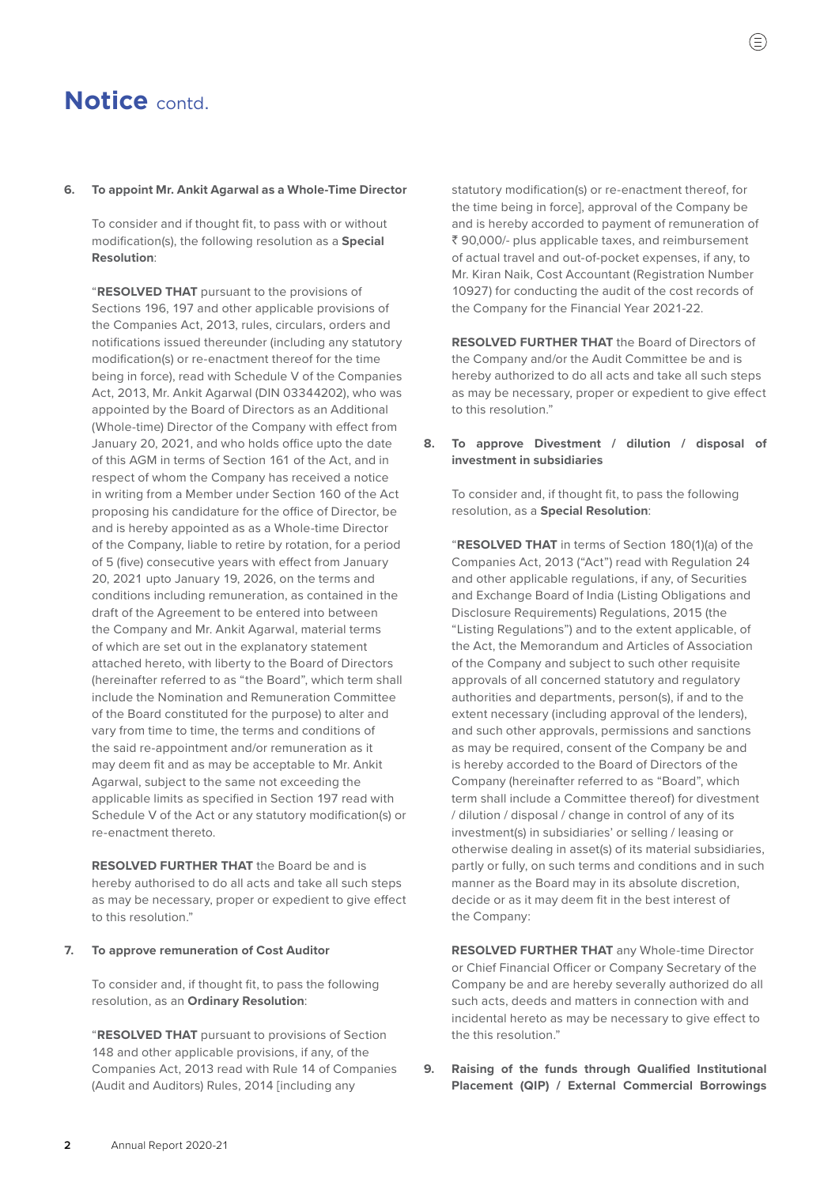#### **6. To appoint Mr. Ankit Agarwal as a Whole-Time Director**

To consider and if thought fit, to pass with or without modification(s), the following resolution as a **Special Resolution**:

"**RESOLVED THAT** pursuant to the provisions of Sections 196, 197 and other applicable provisions of the Companies Act, 2013, rules, circulars, orders and notifications issued thereunder (including any statutory modification(s) or re-enactment thereof for the time being in force), read with Schedule V of the Companies Act, 2013, Mr. Ankit Agarwal (DIN 03344202), who was appointed by the Board of Directors as an Additional (Whole-time) Director of the Company with effect from January 20, 2021, and who holds office upto the date of this AGM in terms of Section 161 of the Act, and in respect of whom the Company has received a notice in writing from a Member under Section 160 of the Act proposing his candidature for the office of Director, be and is hereby appointed as as a Whole-time Director of the Company, liable to retire by rotation, for a period of 5 (five) consecutive years with effect from January 20, 2021 upto January 19, 2026, on the terms and conditions including remuneration, as contained in the draft of the Agreement to be entered into between the Company and Mr. Ankit Agarwal, material terms of which are set out in the explanatory statement attached hereto, with liberty to the Board of Directors (hereinafter referred to as "the Board", which term shall include the Nomination and Remuneration Committee of the Board constituted for the purpose) to alter and vary from time to time, the terms and conditions of the said re-appointment and/or remuneration as it may deem fit and as may be acceptable to Mr. Ankit Agarwal, subject to the same not exceeding the applicable limits as specified in Section 197 read with Schedule V of the Act or any statutory modification(s) or re-enactment thereto.

**RESOLVED FURTHER THAT** the Board be and is hereby authorised to do all acts and take all such steps as may be necessary, proper or expedient to give effect to this resolution."

#### **7. To approve remuneration of Cost Auditor**

To consider and, if thought fit, to pass the following resolution, as an **Ordinary Resolution**:

"**RESOLVED THAT** pursuant to provisions of Section 148 and other applicable provisions, if any, of the Companies Act, 2013 read with Rule 14 of Companies (Audit and Auditors) Rules, 2014 [including any

statutory modification(s) or re-enactment thereof, for the time being in force], approval of the Company be and is hereby accorded to payment of remuneration of ₹ 90,000/- plus applicable taxes, and reimbursement of actual travel and out-of-pocket expenses, if any, to Mr. Kiran Naik, Cost Accountant (Registration Number 10927) for conducting the audit of the cost records of the Company for the Financial Year 2021-22.

 **RESOLVED FURTHER THAT** the Board of Directors of the Company and/or the Audit Committee be and is hereby authorized to do all acts and take all such steps as may be necessary, proper or expedient to give effect to this resolution."

#### **8. To approve Divestment / dilution / disposal of investment in subsidiaries**

To consider and, if thought fit, to pass the following resolution, as a **Special Resolution**:

"**RESOLVED THAT** in terms of Section 180(1)(a) of the Companies Act, 2013 ("Act") read with Regulation 24 and other applicable regulations, if any, of Securities and Exchange Board of India (Listing Obligations and Disclosure Requirements) Regulations, 2015 (the "Listing Regulations") and to the extent applicable, of the Act, the Memorandum and Articles of Association of the Company and subject to such other requisite approvals of all concerned statutory and regulatory authorities and departments, person(s), if and to the extent necessary (including approval of the lenders), and such other approvals, permissions and sanctions as may be required, consent of the Company be and is hereby accorded to the Board of Directors of the Company (hereinafter referred to as "Board", which term shall include a Committee thereof) for divestment / dilution / disposal / change in control of any of its investment(s) in subsidiaries' or selling / leasing or otherwise dealing in asset(s) of its material subsidiaries, partly or fully, on such terms and conditions and in such manner as the Board may in its absolute discretion, decide or as it may deem fit in the best interest of the Company:

**RESOLVED FURTHER THAT** any Whole-time Director or Chief Financial Officer or Company Secretary of the Company be and are hereby severally authorized do all such acts, deeds and matters in connection with and incidental hereto as may be necessary to give effect to the this resolution."

**9. Raising of the funds through Qualified Institutional Placement (QIP) / External Commercial Borrowings**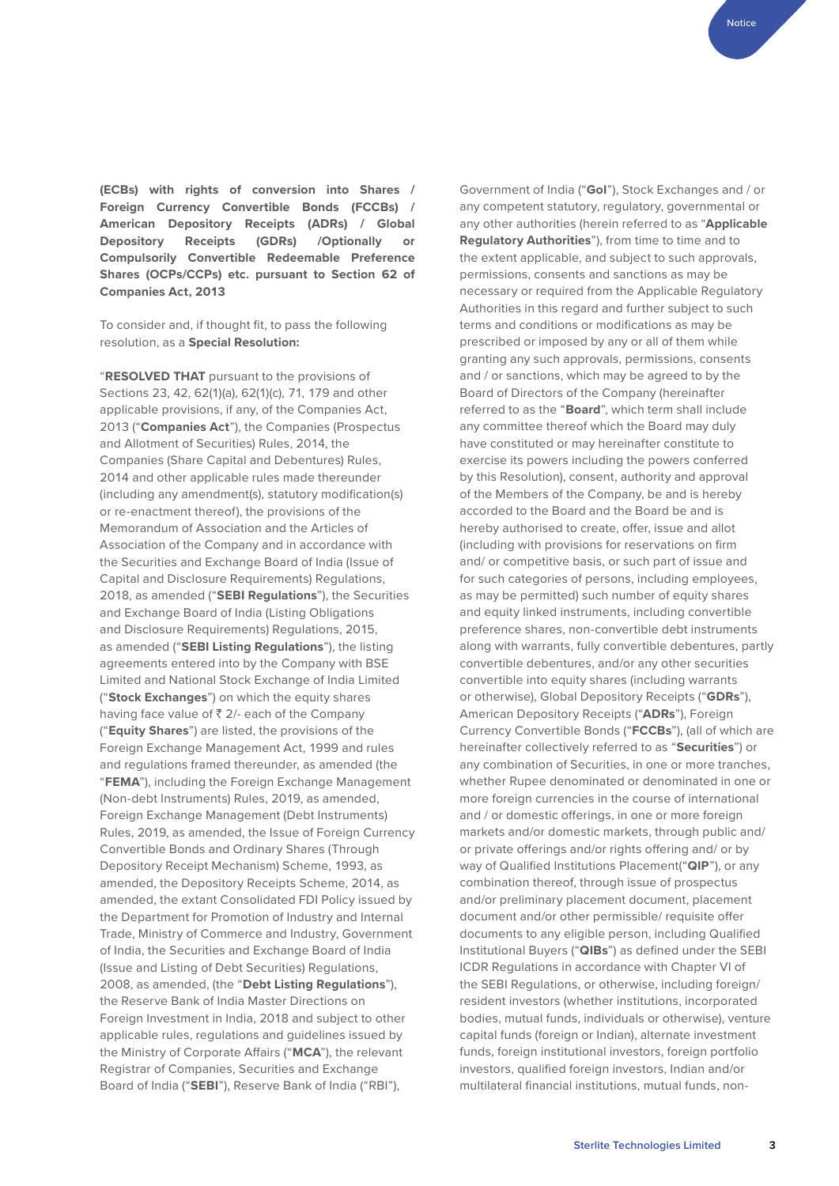**(ECBs) with rights of conversion into Shares / Foreign Currency Convertible Bonds (FCCBs) / American Depository Receipts (ADRs) / Global Depository Receipts (GDRs) /Optionally or Compulsorily Convertible Redeemable Preference Shares (OCPs/CCPs) etc. pursuant to Section 62 of Companies Act, 2013**

To consider and, if thought fit, to pass the following resolution, as a **Special Resolution:**

"**RESOLVED THAT** pursuant to the provisions of Sections 23, 42, 62(1)(a), 62(1)(c), 71, 179 and other applicable provisions, if any, of the Companies Act, 2013 ("**Companies Act**"), the Companies (Prospectus and Allotment of Securities) Rules, 2014, the Companies (Share Capital and Debentures) Rules, 2014 and other applicable rules made thereunder (including any amendment(s), statutory modification(s) or re-enactment thereof), the provisions of the Memorandum of Association and the Articles of Association of the Company and in accordance with the Securities and Exchange Board of India (Issue of Capital and Disclosure Requirements) Regulations, 2018, as amended ("**SEBI Regulations**"), the Securities and Exchange Board of India (Listing Obligations and Disclosure Requirements) Regulations, 2015, as amended ("**SEBI Listing Regulations**"), the listing agreements entered into by the Company with BSE Limited and National Stock Exchange of India Limited ("**Stock Exchanges**") on which the equity shares having face value of  $\bar{z}$  2/- each of the Company ("**Equity Shares**") are listed, the provisions of the Foreign Exchange Management Act, 1999 and rules and regulations framed thereunder, as amended (the "**FEMA**"), including the Foreign Exchange Management (Non-debt Instruments) Rules, 2019, as amended, Foreign Exchange Management (Debt Instruments) Rules, 2019, as amended, the Issue of Foreign Currency Convertible Bonds and Ordinary Shares (Through Depository Receipt Mechanism) Scheme, 1993, as amended, the Depository Receipts Scheme, 2014, as amended, the extant Consolidated FDI Policy issued by the Department for Promotion of Industry and Internal Trade, Ministry of Commerce and Industry, Government of India, the Securities and Exchange Board of India (Issue and Listing of Debt Securities) Regulations, 2008, as amended, (the "**Debt Listing Regulations**"), the Reserve Bank of India Master Directions on Foreign Investment in India, 2018 and subject to other applicable rules, regulations and guidelines issued by the Ministry of Corporate Affairs ("**MCA**"), the relevant Registrar of Companies, Securities and Exchange Board of India ("**SEBI**"), Reserve Bank of India ("RBI"),

Government of India ("**GoI**"), Stock Exchanges and / or any competent statutory, regulatory, governmental or any other authorities (herein referred to as "**Applicable Regulatory Authorities**"), from time to time and to the extent applicable, and subject to such approvals, permissions, consents and sanctions as may be necessary or required from the Applicable Regulatory Authorities in this regard and further subject to such terms and conditions or modifications as may be prescribed or imposed by any or all of them while granting any such approvals, permissions, consents and / or sanctions, which may be agreed to by the Board of Directors of the Company (hereinafter referred to as the "**Board**", which term shall include any committee thereof which the Board may duly have constituted or may hereinafter constitute to exercise its powers including the powers conferred by this Resolution), consent, authority and approval of the Members of the Company, be and is hereby accorded to the Board and the Board be and is hereby authorised to create, offer, issue and allot (including with provisions for reservations on firm and/ or competitive basis, or such part of issue and for such categories of persons, including employees, as may be permitted) such number of equity shares and equity linked instruments, including convertible preference shares, non-convertible debt instruments along with warrants, fully convertible debentures, partly convertible debentures, and/or any other securities convertible into equity shares (including warrants or otherwise), Global Depository Receipts ("**GDRs**"), American Depository Receipts ("**ADRs**"), Foreign Currency Convertible Bonds ("**FCCBs**"), (all of which are hereinafter collectively referred to as "**Securities**") or any combination of Securities, in one or more tranches, whether Rupee denominated or denominated in one or more foreign currencies in the course of international and / or domestic offerings, in one or more foreign markets and/or domestic markets, through public and/ or private offerings and/or rights offering and/ or by way of Qualified Institutions Placement("**QIP**"), or any combination thereof, through issue of prospectus and/or preliminary placement document, placement document and/or other permissible/ requisite offer documents to any eligible person, including Qualified Institutional Buyers ("**QIBs**") as defined under the SEBI ICDR Regulations in accordance with Chapter VI of the SEBI Regulations, or otherwise, including foreign/ resident investors (whether institutions, incorporated bodies, mutual funds, individuals or otherwise), venture capital funds (foreign or Indian), alternate investment funds, foreign institutional investors, foreign portfolio investors, qualified foreign investors, Indian and/or multilateral financial institutions, mutual funds, non-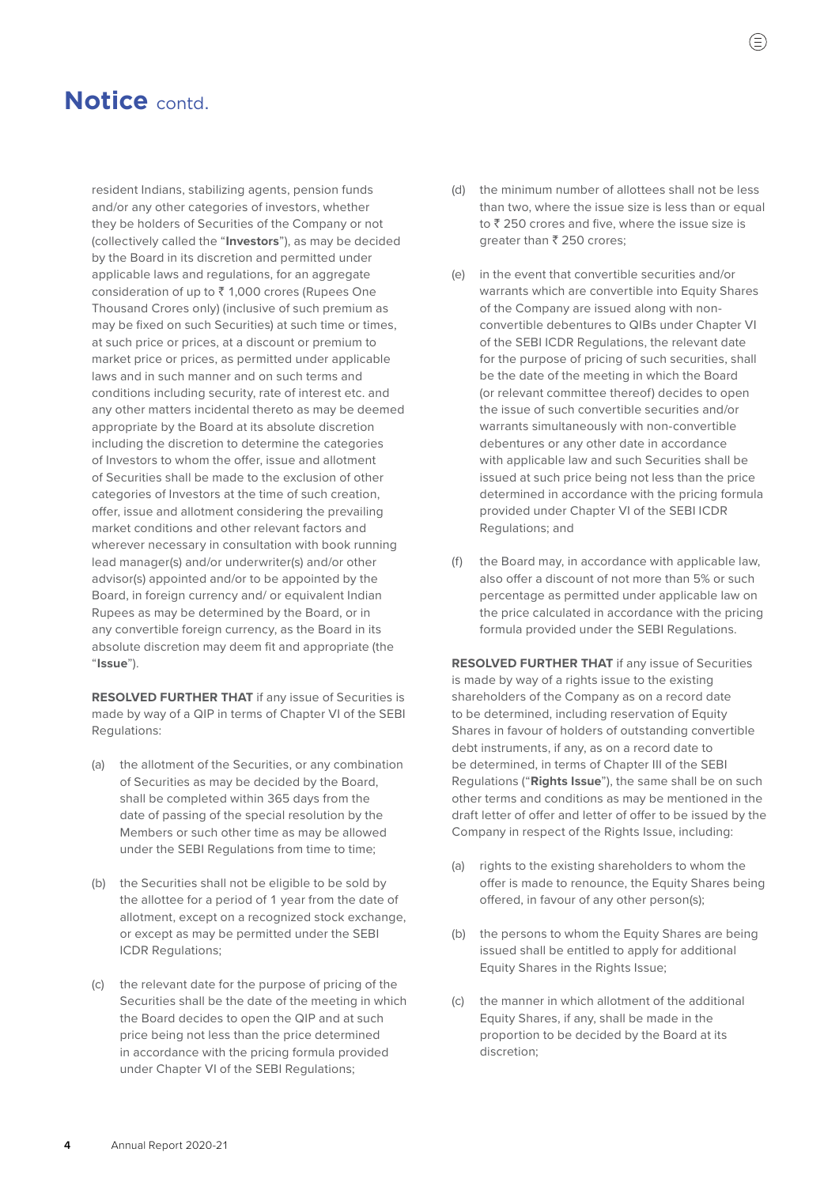resident Indians, stabilizing agents, pension funds and/or any other categories of investors, whether they be holders of Securities of the Company or not (collectively called the "**Investors**"), as may be decided by the Board in its discretion and permitted under applicable laws and regulations, for an aggregate consideration of up to  $\bar{\tau}$  1,000 crores (Rupees One Thousand Crores only) (inclusive of such premium as may be fixed on such Securities) at such time or times, at such price or prices, at a discount or premium to market price or prices, as permitted under applicable laws and in such manner and on such terms and conditions including security, rate of interest etc. and any other matters incidental thereto as may be deemed appropriate by the Board at its absolute discretion including the discretion to determine the categories of Investors to whom the offer, issue and allotment of Securities shall be made to the exclusion of other categories of Investors at the time of such creation, offer, issue and allotment considering the prevailing market conditions and other relevant factors and wherever necessary in consultation with book running lead manager(s) and/or underwriter(s) and/or other advisor(s) appointed and/or to be appointed by the Board, in foreign currency and/ or equivalent Indian Rupees as may be determined by the Board, or in any convertible foreign currency, as the Board in its absolute discretion may deem fit and appropriate (the "**Issue**").

 **RESOLVED FURTHER THAT** if any issue of Securities is made by way of a QIP in terms of Chapter VI of the SEBI Regulations:

- (a) the allotment of the Securities, or any combination of Securities as may be decided by the Board, shall be completed within 365 days from the date of passing of the special resolution by the Members or such other time as may be allowed under the SEBI Regulations from time to time;
- (b) the Securities shall not be eligible to be sold by the allottee for a period of 1 year from the date of allotment, except on a recognized stock exchange, or except as may be permitted under the SEBI ICDR Regulations;
- (c) the relevant date for the purpose of pricing of the Securities shall be the date of the meeting in which the Board decides to open the QIP and at such price being not less than the price determined in accordance with the pricing formula provided under Chapter VI of the SEBI Regulations;
- (d) the minimum number of allottees shall not be less than two, where the issue size is less than or equal to  $\bar{z}$  250 crores and five, where the issue size is greater than  $\bar{\tau}$  250 crores;
- (e) in the event that convertible securities and/or warrants which are convertible into Equity Shares of the Company are issued along with nonconvertible debentures to QIBs under Chapter VI of the SEBI ICDR Regulations, the relevant date for the purpose of pricing of such securities, shall be the date of the meeting in which the Board (or relevant committee thereof) decides to open the issue of such convertible securities and/or warrants simultaneously with non-convertible debentures or any other date in accordance with applicable law and such Securities shall be issued at such price being not less than the price determined in accordance with the pricing formula provided under Chapter VI of the SEBI ICDR Regulations; and
- (f) the Board may, in accordance with applicable law, also offer a discount of not more than 5% or such percentage as permitted under applicable law on the price calculated in accordance with the pricing formula provided under the SEBI Regulations.

 **RESOLVED FURTHER THAT** if any issue of Securities is made by way of a rights issue to the existing shareholders of the Company as on a record date to be determined, including reservation of Equity Shares in favour of holders of outstanding convertible debt instruments, if any, as on a record date to be determined, in terms of Chapter III of the SEBI Regulations ("**Rights Issue**"), the same shall be on such other terms and conditions as may be mentioned in the draft letter of offer and letter of offer to be issued by the Company in respect of the Rights Issue, including:

- (a) rights to the existing shareholders to whom the offer is made to renounce, the Equity Shares being offered, in favour of any other person(s);
- (b) the persons to whom the Equity Shares are being issued shall be entitled to apply for additional Equity Shares in the Rights Issue;
- (c) the manner in which allotment of the additional Equity Shares, if any, shall be made in the proportion to be decided by the Board at its discretion;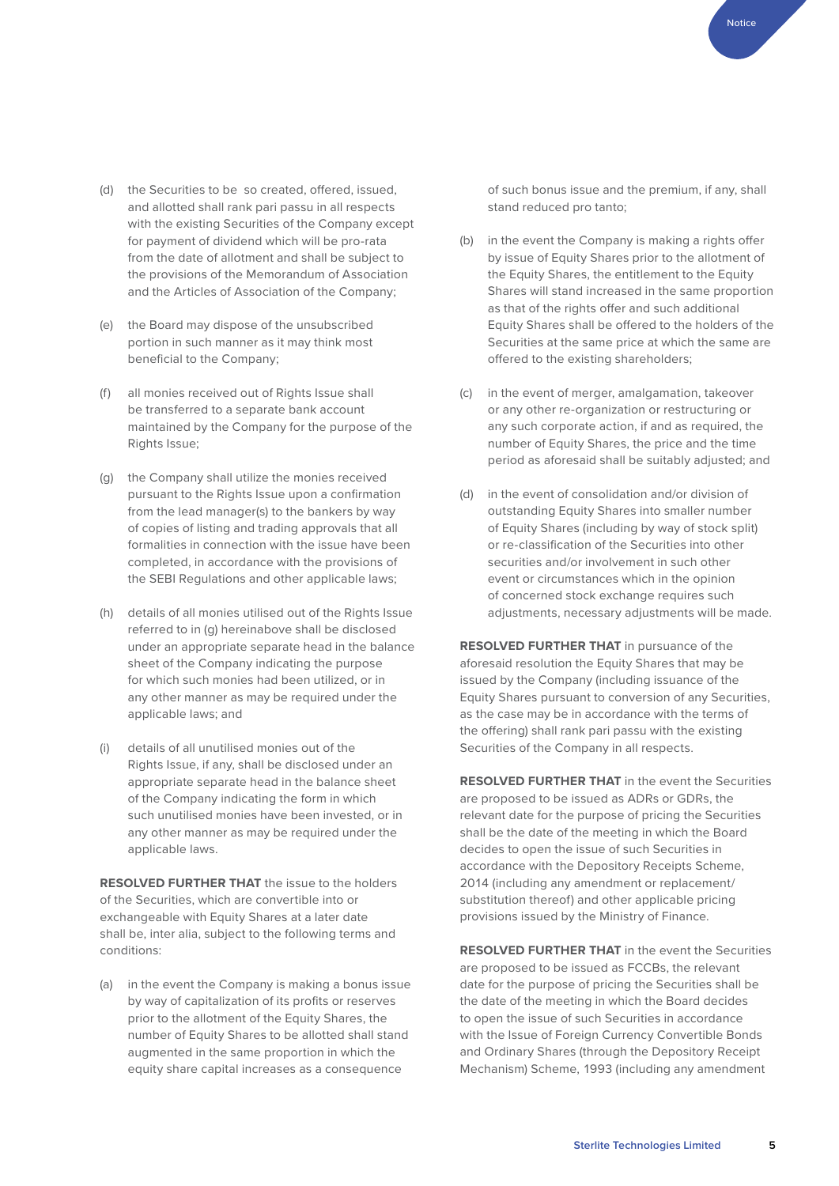Notice

- (d) the Securities to be so created, offered, issued, and allotted shall rank pari passu in all respects with the existing Securities of the Company except for payment of dividend which will be pro-rata from the date of allotment and shall be subject to the provisions of the Memorandum of Association and the Articles of Association of the Company;
- (e) the Board may dispose of the unsubscribed portion in such manner as it may think most beneficial to the Company;
- (f) all monies received out of Rights Issue shall be transferred to a separate bank account maintained by the Company for the purpose of the Rights Issue;
- (g) the Company shall utilize the monies received pursuant to the Rights Issue upon a confirmation from the lead manager(s) to the bankers by way of copies of listing and trading approvals that all formalities in connection with the issue have been completed, in accordance with the provisions of the SEBI Regulations and other applicable laws;
- (h) details of all monies utilised out of the Rights Issue referred to in (g) hereinabove shall be disclosed under an appropriate separate head in the balance sheet of the Company indicating the purpose for which such monies had been utilized, or in any other manner as may be required under the applicable laws; and
- (i) details of all unutilised monies out of the Rights Issue, if any, shall be disclosed under an appropriate separate head in the balance sheet of the Company indicating the form in which such unutilised monies have been invested, or in any other manner as may be required under the applicable laws.

 **RESOLVED FURTHER THAT** the issue to the holders of the Securities, which are convertible into or exchangeable with Equity Shares at a later date shall be, inter alia, subject to the following terms and conditions:

(a) in the event the Company is making a bonus issue by way of capitalization of its profits or reserves prior to the allotment of the Equity Shares, the number of Equity Shares to be allotted shall stand augmented in the same proportion in which the equity share capital increases as a consequence

of such bonus issue and the premium, if any, shall stand reduced pro tanto;

- (b) in the event the Company is making a rights offer by issue of Equity Shares prior to the allotment of the Equity Shares, the entitlement to the Equity Shares will stand increased in the same proportion as that of the rights offer and such additional Equity Shares shall be offered to the holders of the Securities at the same price at which the same are offered to the existing shareholders;
- (c) in the event of merger, amalgamation, takeover or any other re-organization or restructuring or any such corporate action, if and as required, the number of Equity Shares, the price and the time period as aforesaid shall be suitably adjusted; and
- (d) in the event of consolidation and/or division of outstanding Equity Shares into smaller number of Equity Shares (including by way of stock split) or re-classification of the Securities into other securities and/or involvement in such other event or circumstances which in the opinion of concerned stock exchange requires such adjustments, necessary adjustments will be made.

 **RESOLVED FURTHER THAT** in pursuance of the aforesaid resolution the Equity Shares that may be issued by the Company (including issuance of the Equity Shares pursuant to conversion of any Securities, as the case may be in accordance with the terms of the offering) shall rank pari passu with the existing Securities of the Company in all respects.

 **RESOLVED FURTHER THAT** in the event the Securities are proposed to be issued as ADRs or GDRs, the relevant date for the purpose of pricing the Securities shall be the date of the meeting in which the Board decides to open the issue of such Securities in accordance with the Depository Receipts Scheme, 2014 (including any amendment or replacement/ substitution thereof) and other applicable pricing provisions issued by the Ministry of Finance.

 **RESOLVED FURTHER THAT** in the event the Securities are proposed to be issued as FCCBs, the relevant date for the purpose of pricing the Securities shall be the date of the meeting in which the Board decides to open the issue of such Securities in accordance with the Issue of Foreign Currency Convertible Bonds and Ordinary Shares (through the Depository Receipt Mechanism) Scheme, 1993 (including any amendment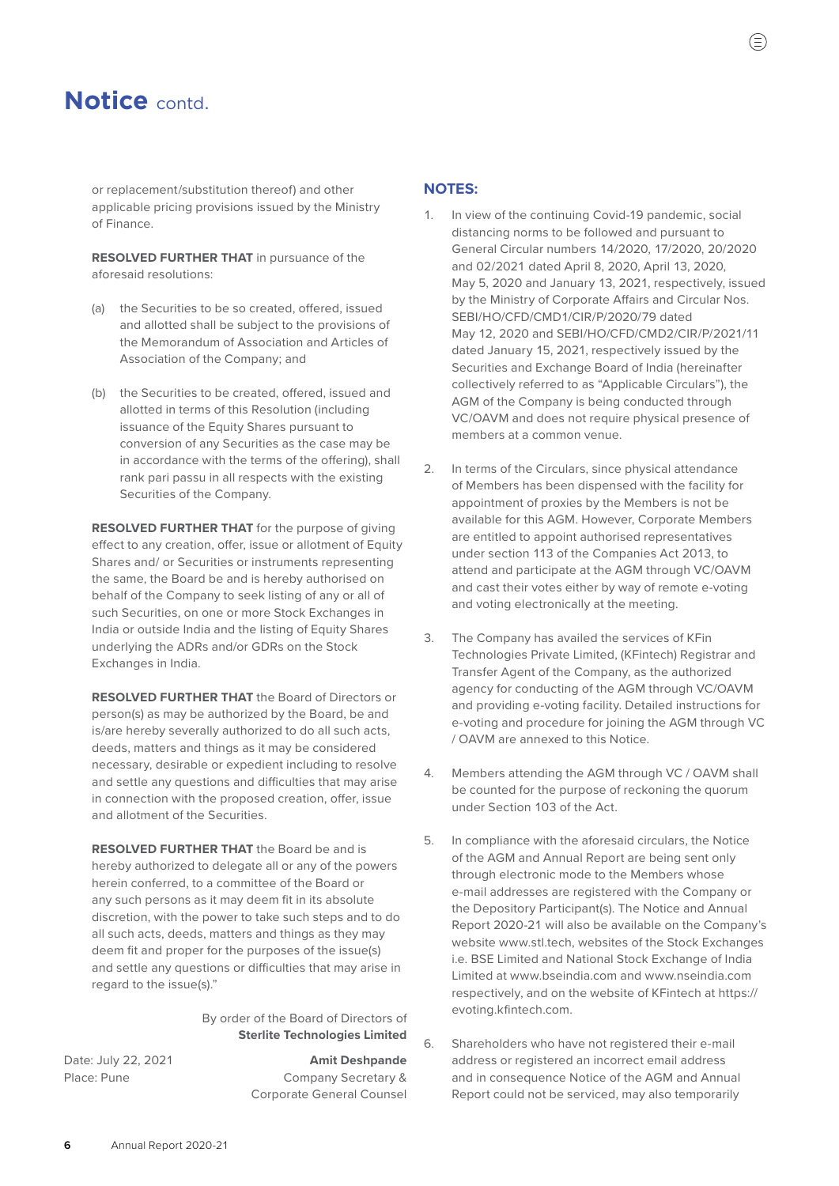or replacement/substitution thereof) and other applicable pricing provisions issued by the Ministry of Finance.

 **RESOLVED FURTHER THAT** in pursuance of the aforesaid resolutions:

- (a) the Securities to be so created, offered, issued and allotted shall be subject to the provisions of the Memorandum of Association and Articles of Association of the Company; and
- (b) the Securities to be created, offered, issued and allotted in terms of this Resolution (including issuance of the Equity Shares pursuant to conversion of any Securities as the case may be in accordance with the terms of the offering), shall rank pari passu in all respects with the existing Securities of the Company.

 **RESOLVED FURTHER THAT** for the purpose of giving effect to any creation, offer, issue or allotment of Equity Shares and/ or Securities or instruments representing the same, the Board be and is hereby authorised on behalf of the Company to seek listing of any or all of such Securities, on one or more Stock Exchanges in India or outside India and the listing of Equity Shares underlying the ADRs and/or GDRs on the Stock Exchanges in India.

 **RESOLVED FURTHER THAT** the Board of Directors or person(s) as may be authorized by the Board, be and is/are hereby severally authorized to do all such acts, deeds, matters and things as it may be considered necessary, desirable or expedient including to resolve and settle any questions and difficulties that may arise in connection with the proposed creation, offer, issue and allotment of the Securities.

 **RESOLVED FURTHER THAT** the Board be and is hereby authorized to delegate all or any of the powers herein conferred, to a committee of the Board or any such persons as it may deem fit in its absolute discretion, with the power to take such steps and to do all such acts, deeds, matters and things as they may deem fit and proper for the purposes of the issue(s) and settle any questions or difficulties that may arise in regard to the issue(s)."

#### By order of the Board of Directors of **Sterlite Technologies Limited**

Date: July 22, 2021 **Amit Deshpande** Place: Pune Company Secretary & Corporate General Counsel

#### **NOTES:**

- 1. In view of the continuing Covid-19 pandemic, social distancing norms to be followed and pursuant to General Circular numbers 14/2020, 17/2020, 20/2020 and 02/2021 dated April 8, 2020, April 13, 2020, May 5, 2020 and January 13, 2021, respectively, issued by the Ministry of Corporate Affairs and Circular Nos. SEBI/HO/CFD/CMD1/CIR/P/2020/79 dated May 12, 2020 and SEBI/HO/CFD/CMD2/CIR/P/2021/11 dated January 15, 2021, respectively issued by the Securities and Exchange Board of India (hereinafter collectively referred to as "Applicable Circulars"), the AGM of the Company is being conducted through VC/OAVM and does not require physical presence of members at a common venue.
- 2. In terms of the Circulars, since physical attendance of Members has been dispensed with the facility for appointment of proxies by the Members is not be available for this AGM. However, Corporate Members are entitled to appoint authorised representatives under section 113 of the Companies Act 2013, to attend and participate at the AGM through VC/OAVM and cast their votes either by way of remote e-voting and voting electronically at the meeting.
- 3. The Company has availed the services of KFin Technologies Private Limited, (KFintech) Registrar and Transfer Agent of the Company, as the authorized agency for conducting of the AGM through VC/OAVM and providing e-voting facility. Detailed instructions for e-voting and procedure for joining the AGM through VC / OAVM are annexed to this Notice.
- 4. Members attending the AGM through VC / OAVM shall be counted for the purpose of reckoning the quorum under Section 103 of the Act.
- 5. In compliance with the aforesaid circulars, the Notice of the AGM and Annual Report are being sent only through electronic mode to the Members whose e-mail addresses are registered with the Company or the Depository Participant(s). The Notice and Annual Report 2020-21 will also be available on the Company's website [www.stl.tech,](http://www.stl.tech) websites of the Stock Exchanges i.e. BSE Limited and National Stock Exchange of India Limited at [www.bseindia.com](http://www.bseindia.com) and [www.nseindia.com](http://www.nseindia.com) respectively, and on the website of KFintech at [https://](https://evoting.kfintech.com) [evoting.kfintech.com](https://evoting.kfintech.com).
- 6. Shareholders who have not registered their e-mail address or registered an incorrect email address and in consequence Notice of the AGM and Annual Report could not be serviced, may also temporarily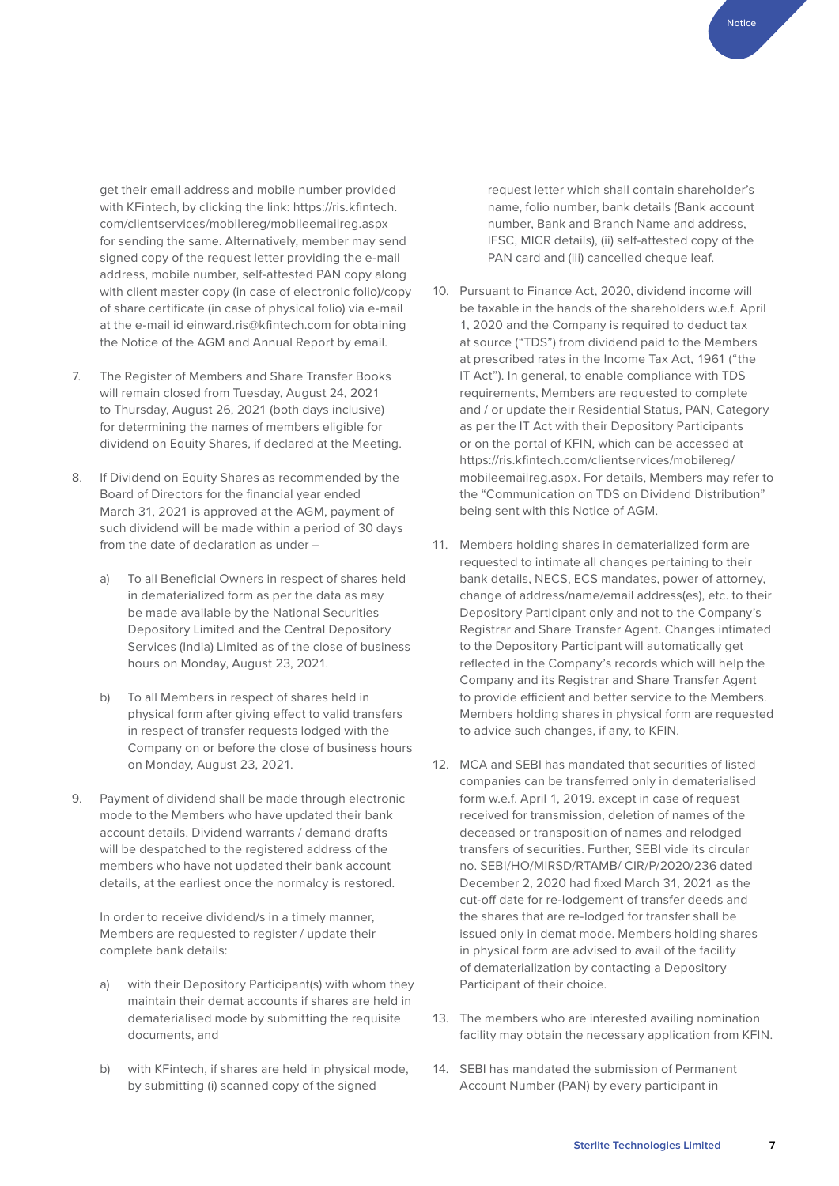get their email address and mobile number provided with KFintech, by clicking the link: [https://ris.kfintech.](https://ris.kfintech.com/clientservices/mobilereg/mobileemailreg.aspx) [com/clientservices/mobilereg/mobileemailreg.aspx](https://ris.kfintech.com/clientservices/mobilereg/mobileemailreg.aspx) for sending the same. Alternatively, member may send signed copy of the request letter providing the e-mail address, mobile number, self-attested PAN copy along with client master copy (in case of electronic folio)/copy of share certificate (in case of physical folio) via e-mail at the e-mail id einward.ris@kfintech.com for obtaining the Notice of the AGM and Annual Report by email.

- 7. The Register of Members and Share Transfer Books will remain closed from Tuesday, August 24, 2021 to Thursday, August 26, 2021 (both days inclusive) for determining the names of members eligible for dividend on Equity Shares, if declared at the Meeting.
- 8. If Dividend on Equity Shares as recommended by the Board of Directors for the financial year ended March 31, 2021 is approved at the AGM, payment of such dividend will be made within a period of 30 days from the date of declaration as under –
	- a) To all Beneficial Owners in respect of shares held in dematerialized form as per the data as may be made available by the National Securities Depository Limited and the Central Depository Services (India) Limited as of the close of business hours on Monday, August 23, 2021.
	- b) To all Members in respect of shares held in physical form after giving effect to valid transfers in respect of transfer requests lodged with the Company on or before the close of business hours on Monday, August 23, 2021.
- 9. Payment of dividend shall be made through electronic mode to the Members who have updated their bank account details. Dividend warrants / demand drafts will be despatched to the registered address of the members who have not updated their bank account details, at the earliest once the normalcy is restored.

In order to receive dividend/s in a timely manner, Members are requested to register / update their complete bank details:

- a) with their Depository Participant(s) with whom they maintain their demat accounts if shares are held in dematerialised mode by submitting the requisite documents, and
- b) with KFintech, if shares are held in physical mode, by submitting (i) scanned copy of the signed

request letter which shall contain shareholder's name, folio number, bank details (Bank account number, Bank and Branch Name and address, IFSC, MICR details), (ii) self-attested copy of the PAN card and (iii) cancelled cheque leaf.

- 10. Pursuant to Finance Act, 2020, dividend income will be taxable in the hands of the shareholders w.e.f. April 1, 2020 and the Company is required to deduct tax at source ("TDS") from dividend paid to the Members at prescribed rates in the Income Tax Act, 1961 ("the IT Act"). In general, to enable compliance with TDS requirements, Members are requested to complete and / or update their Residential Status, PAN, Category as per the IT Act with their Depository Participants or on the portal of KFIN, which can be accessed at [https://ris.kfintech.com/clientservices/mobilereg/](https://ris.kfintech.com/clientservices/mobilereg/mobileemailreg.aspx) [mobileemailreg.aspx.](https://ris.kfintech.com/clientservices/mobilereg/mobileemailreg.aspx) For details, Members may refer to the "Communication on TDS on Dividend Distribution" being sent with this Notice of AGM.
- 11. Members holding shares in dematerialized form are requested to intimate all changes pertaining to their bank details, NECS, ECS mandates, power of attorney, change of address/name/email address(es), etc. to their Depository Participant only and not to the Company's Registrar and Share Transfer Agent. Changes intimated to the Depository Participant will automatically get reflected in the Company's records which will help the Company and its Registrar and Share Transfer Agent to provide efficient and better service to the Members. Members holding shares in physical form are requested to advice such changes, if any, to KFIN.
- 12. MCA and SEBI has mandated that securities of listed companies can be transferred only in dematerialised form w.e.f. April 1, 2019. except in case of request received for transmission, deletion of names of the deceased or transposition of names and relodged transfers of securities. Further, SEBI vide its circular no. SEBI/HO/MIRSD/RTAMB/ CIR/P/2020/236 dated December 2, 2020 had fixed March 31, 2021 as the cut-off date for re-lodgement of transfer deeds and the shares that are re-lodged for transfer shall be issued only in demat mode. Members holding shares in physical form are advised to avail of the facility of dematerialization by contacting a Depository Participant of their choice.
- 13. The members who are interested availing nomination facility may obtain the necessary application from KFIN.
- 14. SEBI has mandated the submission of Permanent Account Number (PAN) by every participant in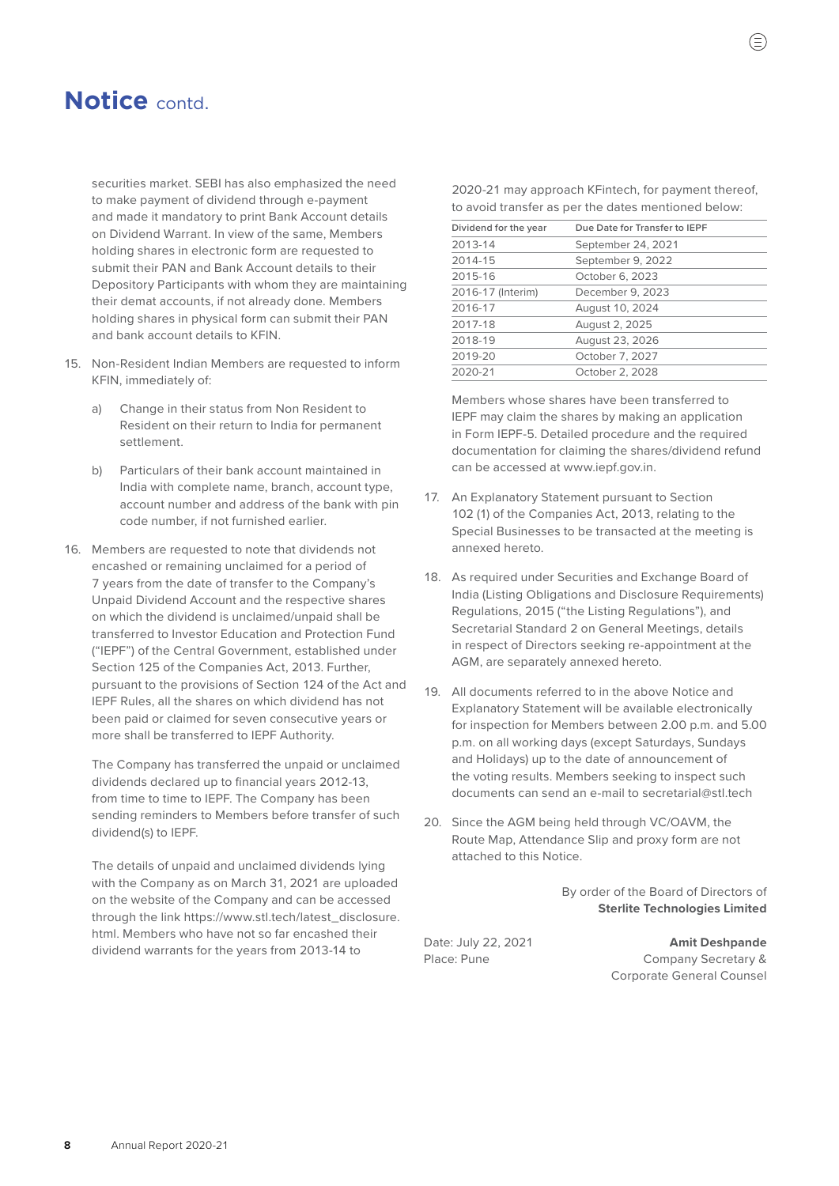securities market. SEBI has also emphasized the need to make payment of dividend through e-payment and made it mandatory to print Bank Account details on Dividend Warrant. In view of the same, Members holding shares in electronic form are requested to submit their PAN and Bank Account details to their Depository Participants with whom they are maintaining their demat accounts, if not already done. Members holding shares in physical form can submit their PAN and bank account details to KFIN.

- 15. Non-Resident Indian Members are requested to inform KFIN, immediately of:
	- a) Change in their status from Non Resident to Resident on their return to India for permanent settlement.
	- b) Particulars of their bank account maintained in India with complete name, branch, account type, account number and address of the bank with pin code number, if not furnished earlier.
- 16. Members are requested to note that dividends not encashed or remaining unclaimed for a period of 7 years from the date of transfer to the Company's Unpaid Dividend Account and the respective shares on which the dividend is unclaimed/unpaid shall be transferred to Investor Education and Protection Fund ("IEPF") of the Central Government, established under Section 125 of the Companies Act, 2013. Further, pursuant to the provisions of Section 124 of the Act and IEPF Rules, all the shares on which dividend has not been paid or claimed for seven consecutive years or more shall be transferred to IEPF Authority.

The Company has transferred the unpaid or unclaimed dividends declared up to financial years 2012-13, from time to time to IEPF. The Company has been sending reminders to Members before transfer of such dividend(s) to IEPF.

The details of unpaid and unclaimed dividends lying with the Company as on March 31, 2021 are uploaded on the website of the Company and can be accessed through the link [https://www.stl.tech/latest\\_disclosure.](https://www.stl.tech/latest_disclosure.html) [html.](https://www.stl.tech/latest_disclosure.html) Members who have not so far encashed their dividend warrants for the years from 2013-14 to

2020-21 may approach KFintech, for payment thereof, to avoid transfer as per the dates mentioned below:

| Dividend for the year | Due Date for Transfer to IEPF |
|-----------------------|-------------------------------|
| 2013-14               | September 24, 2021            |
| 2014-15               | September 9, 2022             |
| 2015-16               | October 6, 2023               |
| 2016-17 (Interim)     | December 9, 2023              |
| 2016-17               | August 10, 2024               |
| 2017-18               | August 2, 2025                |
| 2018-19               | August 23, 2026               |
| 2019-20               | October 7, 2027               |
| 2020-21               | October 2, 2028               |

Members whose shares have been transferred to IEPF may claim the shares by making an application in Form IEPF-5. Detailed procedure and the required documentation for claiming the shares/dividend refund can be accessed at www.iepf.gov.in.

- 17. An Explanatory Statement pursuant to Section 102 (1) of the Companies Act, 2013, relating to the Special Businesses to be transacted at the meeting is annexed hereto.
- 18. As required under Securities and Exchange Board of India (Listing Obligations and Disclosure Requirements) Regulations, 2015 ("the Listing Regulations"), and Secretarial Standard 2 on General Meetings, details in respect of Directors seeking re-appointment at the AGM, are separately annexed hereto.
- 19. All documents referred to in the above Notice and Explanatory Statement will be available electronically for inspection for Members between 2.00 p.m. and 5.00 p.m. on all working days (except Saturdays, Sundays and Holidays) up to the date of announcement of the voting results. Members seeking to inspect such documents can send an e-mail to [secretarial@stl.tech](mailto:secretarial%40stl.tech?subject=)
- 20. Since the AGM being held through VC/OAVM, the Route Map, Attendance Slip and proxy form are not attached to this Notice.

By order of the Board of Directors of **Sterlite Technologies Limited**

Date: July 22, 2021 **Amit Deshpande** Place: Pune Company Secretary & Corporate General Counsel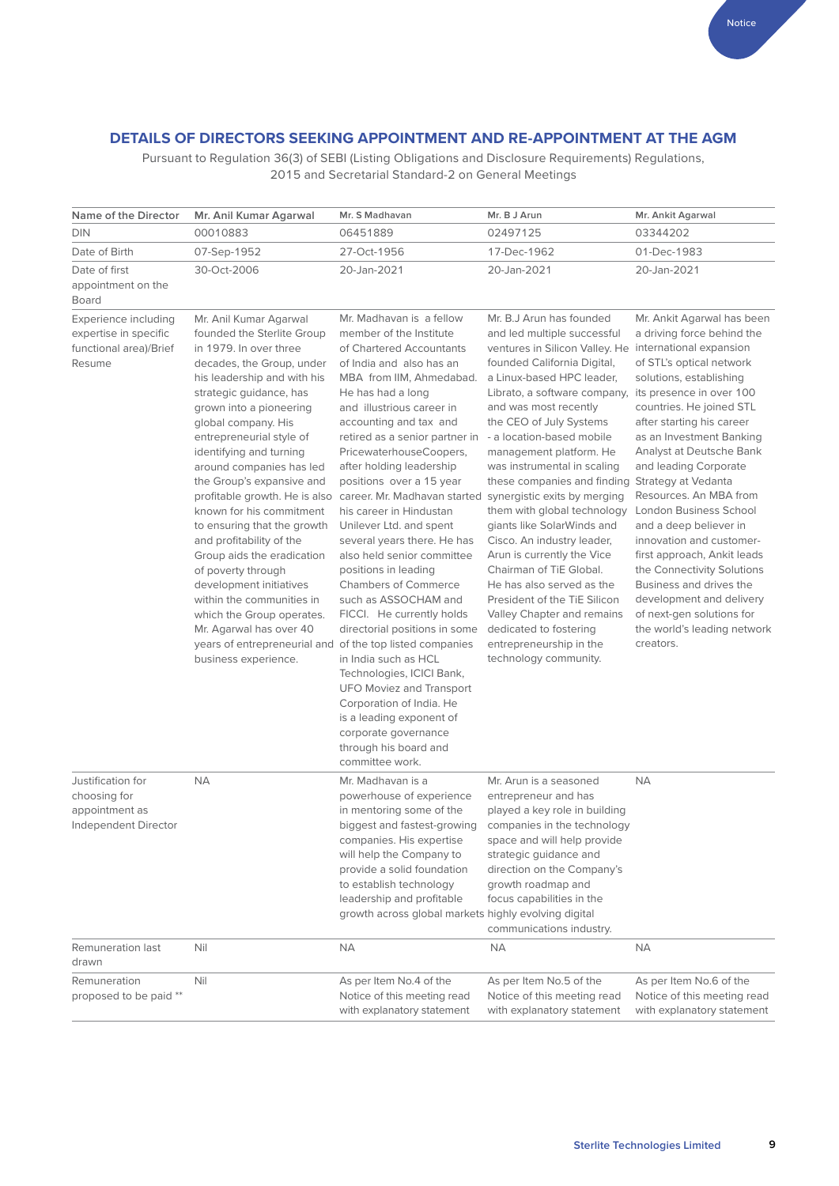### **DETAILS OF DIRECTORS SEEKING APPOINTMENT AND RE-APPOINTMENT AT THE AGM**

Pursuant to Regulation 36(3) of SEBI (Listing Obligations and Disclosure Requirements) Regulations, 2015 and Secretarial Standard-2 on General Meetings

| Name of the Director                                                              | Mr. Anil Kumar Agarwal                                                                                                                                                                                                                                                                                                                                                                                                                                                                                                                                                                                                                                                                                                  | Mr. S Madhavan                                                                                                                                                                                                                                                                                                                                                                                                                                                                                                                                                                                                                                                                                                                                                                                                                                               | Mr. B J Arun                                                                                                                                                                                                                                                                                                                                                                                                                                                                                                                                                                                                                                                                                                                                                             | Mr. Ankit Agarwal                                                                                                                                                                                                                                                                                                                                                                                                                                                                                                                                                                            |
|-----------------------------------------------------------------------------------|-------------------------------------------------------------------------------------------------------------------------------------------------------------------------------------------------------------------------------------------------------------------------------------------------------------------------------------------------------------------------------------------------------------------------------------------------------------------------------------------------------------------------------------------------------------------------------------------------------------------------------------------------------------------------------------------------------------------------|--------------------------------------------------------------------------------------------------------------------------------------------------------------------------------------------------------------------------------------------------------------------------------------------------------------------------------------------------------------------------------------------------------------------------------------------------------------------------------------------------------------------------------------------------------------------------------------------------------------------------------------------------------------------------------------------------------------------------------------------------------------------------------------------------------------------------------------------------------------|--------------------------------------------------------------------------------------------------------------------------------------------------------------------------------------------------------------------------------------------------------------------------------------------------------------------------------------------------------------------------------------------------------------------------------------------------------------------------------------------------------------------------------------------------------------------------------------------------------------------------------------------------------------------------------------------------------------------------------------------------------------------------|----------------------------------------------------------------------------------------------------------------------------------------------------------------------------------------------------------------------------------------------------------------------------------------------------------------------------------------------------------------------------------------------------------------------------------------------------------------------------------------------------------------------------------------------------------------------------------------------|
| <b>DIN</b>                                                                        | 00010883                                                                                                                                                                                                                                                                                                                                                                                                                                                                                                                                                                                                                                                                                                                | 06451889                                                                                                                                                                                                                                                                                                                                                                                                                                                                                                                                                                                                                                                                                                                                                                                                                                                     | 02497125                                                                                                                                                                                                                                                                                                                                                                                                                                                                                                                                                                                                                                                                                                                                                                 | 03344202                                                                                                                                                                                                                                                                                                                                                                                                                                                                                                                                                                                     |
| Date of Birth                                                                     | 07-Sep-1952                                                                                                                                                                                                                                                                                                                                                                                                                                                                                                                                                                                                                                                                                                             | 27-Oct-1956                                                                                                                                                                                                                                                                                                                                                                                                                                                                                                                                                                                                                                                                                                                                                                                                                                                  | 17-Dec-1962                                                                                                                                                                                                                                                                                                                                                                                                                                                                                                                                                                                                                                                                                                                                                              | 01-Dec-1983                                                                                                                                                                                                                                                                                                                                                                                                                                                                                                                                                                                  |
| Date of first<br>appointment on the<br><b>Board</b>                               | 30-Oct-2006                                                                                                                                                                                                                                                                                                                                                                                                                                                                                                                                                                                                                                                                                                             | 20-Jan-2021                                                                                                                                                                                                                                                                                                                                                                                                                                                                                                                                                                                                                                                                                                                                                                                                                                                  | 20-Jan-2021                                                                                                                                                                                                                                                                                                                                                                                                                                                                                                                                                                                                                                                                                                                                                              | 20-Jan-2021                                                                                                                                                                                                                                                                                                                                                                                                                                                                                                                                                                                  |
| Experience including<br>expertise in specific<br>functional area)/Brief<br>Resume | Mr. Anil Kumar Agarwal<br>founded the Sterlite Group<br>in 1979. In over three<br>decades, the Group, under<br>his leadership and with his<br>strategic guidance, has<br>grown into a pioneering<br>global company. His<br>entrepreneurial style of<br>identifying and turning<br>around companies has led<br>the Group's expansive and<br>profitable growth. He is also<br>known for his commitment<br>to ensuring that the growth<br>and profitability of the<br>Group aids the eradication<br>of poverty through<br>development initiatives<br>within the communities in<br>which the Group operates.<br>Mr. Agarwal has over 40<br>years of entrepreneurial and of the top listed companies<br>business experience. | Mr. Madhavan is a fellow<br>member of the Institute<br>of Chartered Accountants<br>of India and also has an<br>MBA from IIM, Ahmedabad.<br>He has had a long<br>and illustrious career in<br>accounting and tax and<br>retired as a senior partner in<br>PricewaterhouseCoopers,<br>after holding leadership<br>positions over a 15 year<br>career. Mr. Madhavan started<br>his career in Hindustan<br>Unilever Ltd. and spent<br>several years there. He has<br>also held senior committee<br>positions in leading<br><b>Chambers of Commerce</b><br>such as ASSOCHAM and<br>FICCI. He currently holds<br>directorial positions in some<br>in India such as HCL<br>Technologies, ICICI Bank,<br><b>UFO Moviez and Transport</b><br>Corporation of India. He<br>is a leading exponent of<br>corporate governance<br>through his board and<br>committee work. | Mr. B.J Arun has founded<br>and led multiple successful<br>ventures in Silicon Valley. He international expansion<br>founded California Digital,<br>a Linux-based HPC leader.<br>Librato, a software company,<br>and was most recently<br>the CEO of July Systems<br>- a location-based mobile<br>management platform. He<br>was instrumental in scaling<br>these companies and finding Strategy at Vedanta<br>synergistic exits by merging<br>them with global technology<br>giants like SolarWinds and<br>Cisco. An industry leader,<br>Arun is currently the Vice<br>Chairman of TiE Global.<br>He has also served as the<br>President of the TiE Silicon<br>Valley Chapter and remains<br>dedicated to fostering<br>entrepreneurship in the<br>technology community. | Mr. Ankit Agarwal has been<br>a driving force behind the<br>of STL's optical network<br>solutions, establishing<br>its presence in over 100<br>countries. He joined STL<br>after starting his career<br>as an Investment Banking<br>Analyst at Deutsche Bank<br>and leading Corporate<br>Resources. An MBA from<br>London Business School<br>and a deep believer in<br>innovation and customer-<br>first approach, Ankit leads<br>the Connectivity Solutions<br>Business and drives the<br>development and delivery<br>of next-gen solutions for<br>the world's leading network<br>creators. |
| Justification for<br>choosing for<br>appointment as<br>Independent Director       | <b>NA</b>                                                                                                                                                                                                                                                                                                                                                                                                                                                                                                                                                                                                                                                                                                               | Mr. Madhavan is a<br>powerhouse of experience<br>in mentoring some of the<br>biggest and fastest-growing<br>companies. His expertise<br>will help the Company to<br>provide a solid foundation<br>to establish technology<br>leadership and profitable<br>growth across global markets highly evolving digital                                                                                                                                                                                                                                                                                                                                                                                                                                                                                                                                               | Mr. Arun is a seasoned<br>entrepreneur and has<br>played a key role in building<br>companies in the technology<br>space and will help provide<br>strategic guidance and<br>direction on the Company's<br>growth roadmap and<br>focus capabilities in the<br>communications industry.                                                                                                                                                                                                                                                                                                                                                                                                                                                                                     | <b>NA</b>                                                                                                                                                                                                                                                                                                                                                                                                                                                                                                                                                                                    |
| Remuneration last<br>drawn                                                        | Nil                                                                                                                                                                                                                                                                                                                                                                                                                                                                                                                                                                                                                                                                                                                     | ΝA                                                                                                                                                                                                                                                                                                                                                                                                                                                                                                                                                                                                                                                                                                                                                                                                                                                           | <b>NA</b>                                                                                                                                                                                                                                                                                                                                                                                                                                                                                                                                                                                                                                                                                                                                                                | <b>NA</b>                                                                                                                                                                                                                                                                                                                                                                                                                                                                                                                                                                                    |
| Remuneration<br>proposed to be paid **                                            | Nil                                                                                                                                                                                                                                                                                                                                                                                                                                                                                                                                                                                                                                                                                                                     | As per Item No.4 of the<br>Notice of this meeting read<br>with explanatory statement                                                                                                                                                                                                                                                                                                                                                                                                                                                                                                                                                                                                                                                                                                                                                                         | As per Item No.5 of the<br>Notice of this meeting read<br>with explanatory statement                                                                                                                                                                                                                                                                                                                                                                                                                                                                                                                                                                                                                                                                                     | As per Item No.6 of the<br>Notice of this meeting read<br>with explanatory statement                                                                                                                                                                                                                                                                                                                                                                                                                                                                                                         |

Notice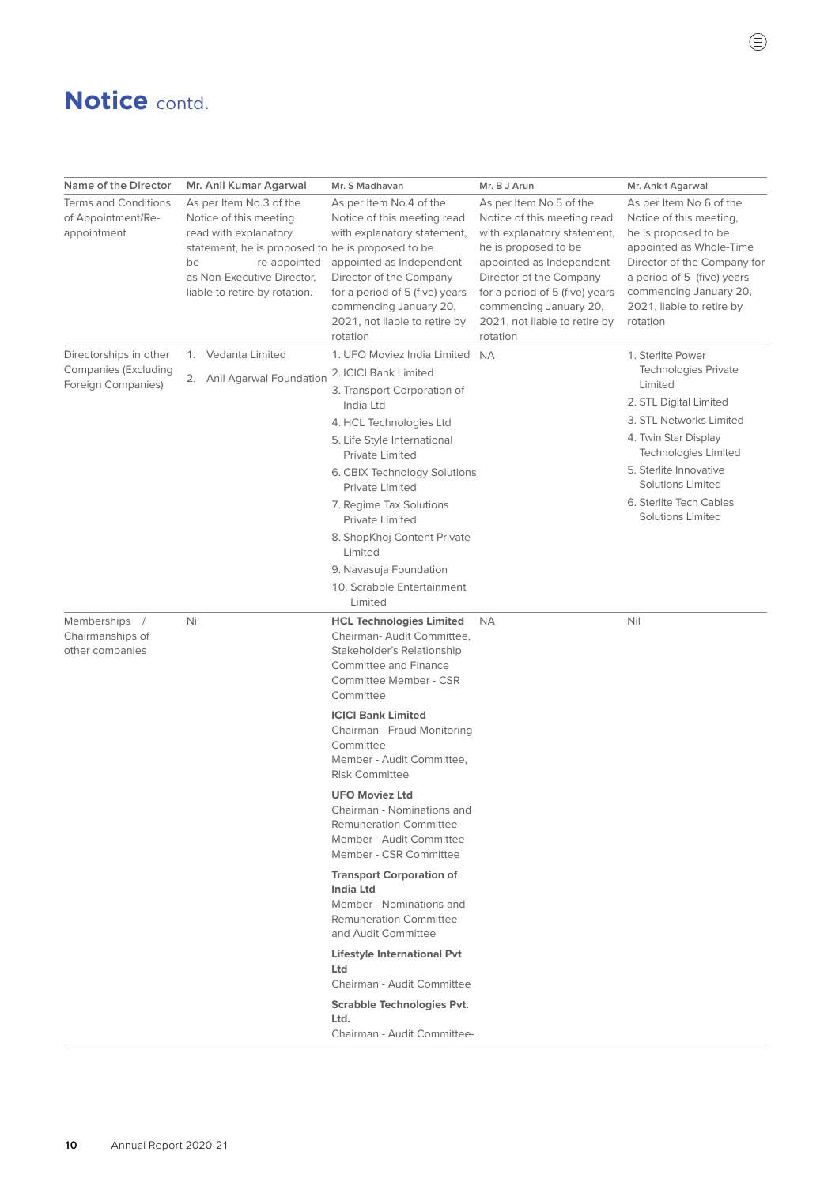| Name of the Director                                             | Mr. Anil Kumar Agarwal                                                                                                                                                                                               | Mr. S Madhavan                                                                                                                                                                                                                                        | Mr. B J Arun                                                                                                                                                                                                                                                                  | Mr. Ankit Agarwal                                                                                                                                                                                                                     |
|------------------------------------------------------------------|----------------------------------------------------------------------------------------------------------------------------------------------------------------------------------------------------------------------|-------------------------------------------------------------------------------------------------------------------------------------------------------------------------------------------------------------------------------------------------------|-------------------------------------------------------------------------------------------------------------------------------------------------------------------------------------------------------------------------------------------------------------------------------|---------------------------------------------------------------------------------------------------------------------------------------------------------------------------------------------------------------------------------------|
| <b>Terms and Conditions</b><br>of Appointment/Re-<br>appointment | As per Item No.3 of the<br>Notice of this meeting<br>read with explanatory<br>statement, he is proposed to he is proposed to be<br>re-appointed<br>be<br>as Non-Executive Director,<br>liable to retire by rotation. | As per Item No.4 of the<br>Notice of this meeting read<br>with explanatory statement,<br>appointed as Independent<br>Director of the Company<br>for a period of 5 (five) years<br>commencing January 20,<br>2021, not liable to retire by<br>rotation | As per Item No.5 of the<br>Notice of this meeting read<br>with explanatory statement,<br>he is proposed to be<br>appointed as Independent<br>Director of the Company<br>for a period of 5 (five) years<br>commencing January 20,<br>2021, not liable to retire by<br>rotation | As per Item No 6 of the<br>Notice of this meeting,<br>he is proposed to be<br>appointed as Whole-Time<br>Director of the Company for<br>a period of 5 (five) years<br>commencing January 20,<br>2021, liable to retire by<br>rotation |
| Directorships in other                                           | 1. Vedanta Limited                                                                                                                                                                                                   | 1. UFO Moviez India Limited NA                                                                                                                                                                                                                        |                                                                                                                                                                                                                                                                               | 1. Sterlite Power                                                                                                                                                                                                                     |
| <b>Companies (Excluding</b><br>Foreign Companies)                | 2. Anil Agarwal Foundation                                                                                                                                                                                           | 2. ICICI Bank Limited<br>3. Transport Corporation of                                                                                                                                                                                                  |                                                                                                                                                                                                                                                                               | <b>Technologies Private</b><br>Limited<br>2. STL Digital Limited                                                                                                                                                                      |
|                                                                  |                                                                                                                                                                                                                      | India Ltd<br>4. HCL Technologies Ltd                                                                                                                                                                                                                  |                                                                                                                                                                                                                                                                               | 3. STL Networks Limited                                                                                                                                                                                                               |
|                                                                  |                                                                                                                                                                                                                      | 5. Life Style International<br>Private Limited                                                                                                                                                                                                        |                                                                                                                                                                                                                                                                               | 4. Twin Star Display<br><b>Technologies Limited</b>                                                                                                                                                                                   |
|                                                                  |                                                                                                                                                                                                                      | 6. CBIX Technology Solutions<br>Private Limited                                                                                                                                                                                                       |                                                                                                                                                                                                                                                                               | 5. Sterlite Innovative<br><b>Solutions Limited</b>                                                                                                                                                                                    |
|                                                                  |                                                                                                                                                                                                                      | 7. Regime Tax Solutions<br><b>Private Limited</b>                                                                                                                                                                                                     |                                                                                                                                                                                                                                                                               | 6. Sterlite Tech Cables<br><b>Solutions Limited</b>                                                                                                                                                                                   |
|                                                                  |                                                                                                                                                                                                                      | 8. ShopKhoj Content Private<br>Limited                                                                                                                                                                                                                |                                                                                                                                                                                                                                                                               |                                                                                                                                                                                                                                       |
|                                                                  |                                                                                                                                                                                                                      | 9. Navasuja Foundation                                                                                                                                                                                                                                |                                                                                                                                                                                                                                                                               |                                                                                                                                                                                                                                       |
|                                                                  |                                                                                                                                                                                                                      | 10. Scrabble Entertainment<br>Limited                                                                                                                                                                                                                 |                                                                                                                                                                                                                                                                               |                                                                                                                                                                                                                                       |
| Memberships /<br>Chairmanships of<br>other companies             | Nil                                                                                                                                                                                                                  | <b>HCL Technologies Limited</b><br>Chairman- Audit Committee,<br>Stakeholder's Relationship<br><b>Committee and Finance</b><br>Committee Member - CSR<br>Committee                                                                                    | <b>NA</b>                                                                                                                                                                                                                                                                     | Nil                                                                                                                                                                                                                                   |
|                                                                  |                                                                                                                                                                                                                      | <b>ICICI Bank Limited</b><br>Chairman - Fraud Monitoring<br>Committee<br>Member - Audit Committee,<br><b>Risk Committee</b>                                                                                                                           |                                                                                                                                                                                                                                                                               |                                                                                                                                                                                                                                       |
|                                                                  |                                                                                                                                                                                                                      | <b>UFO Moviez Ltd</b><br>Chairman - Nominations and<br><b>Remuneration Committee</b><br>Member - Audit Committee<br>Member - CSR Committee                                                                                                            |                                                                                                                                                                                                                                                                               |                                                                                                                                                                                                                                       |
|                                                                  |                                                                                                                                                                                                                      | <b>Transport Corporation of</b><br><b>India Ltd</b><br>Member - Nominations and<br><b>Remuneration Committee</b><br>and Audit Committee                                                                                                               |                                                                                                                                                                                                                                                                               |                                                                                                                                                                                                                                       |
|                                                                  |                                                                                                                                                                                                                      | <b>Lifestyle International Pvt</b><br>Ltd<br>Chairman - Audit Committee                                                                                                                                                                               |                                                                                                                                                                                                                                                                               |                                                                                                                                                                                                                                       |
|                                                                  |                                                                                                                                                                                                                      | <b>Scrabble Technologies Pvt.</b><br>Ltd.<br>Chairman - Audit Committee-                                                                                                                                                                              |                                                                                                                                                                                                                                                                               |                                                                                                                                                                                                                                       |

 $\textcircled{\small{1}}% \textcircled{\small{1}}% \textcircled{\small{1}}% \textcircled{\small{1}}% \textcircled{\small{1}}% \textcircled{\small{1}}% \textcircled{\small{1}}% \textcircled{\small{1}}% \textcircled{\small{1}}% \textcircled{\small{1}}% \textcircled{\small{1}}% \textcircled{\small{1}}% \textcircled{\small{1}}% \textcircled{\small{1}}% \textcircled{\small{1}}% \textcircled{\small{1}}% \textcircled{\small{1}}% \textcircled{\small{1}}% \textcircled{\small{1}}% \textcircled{\small{1}}% \textcircled{\small{1}}% \textcircled{\small{1}}%$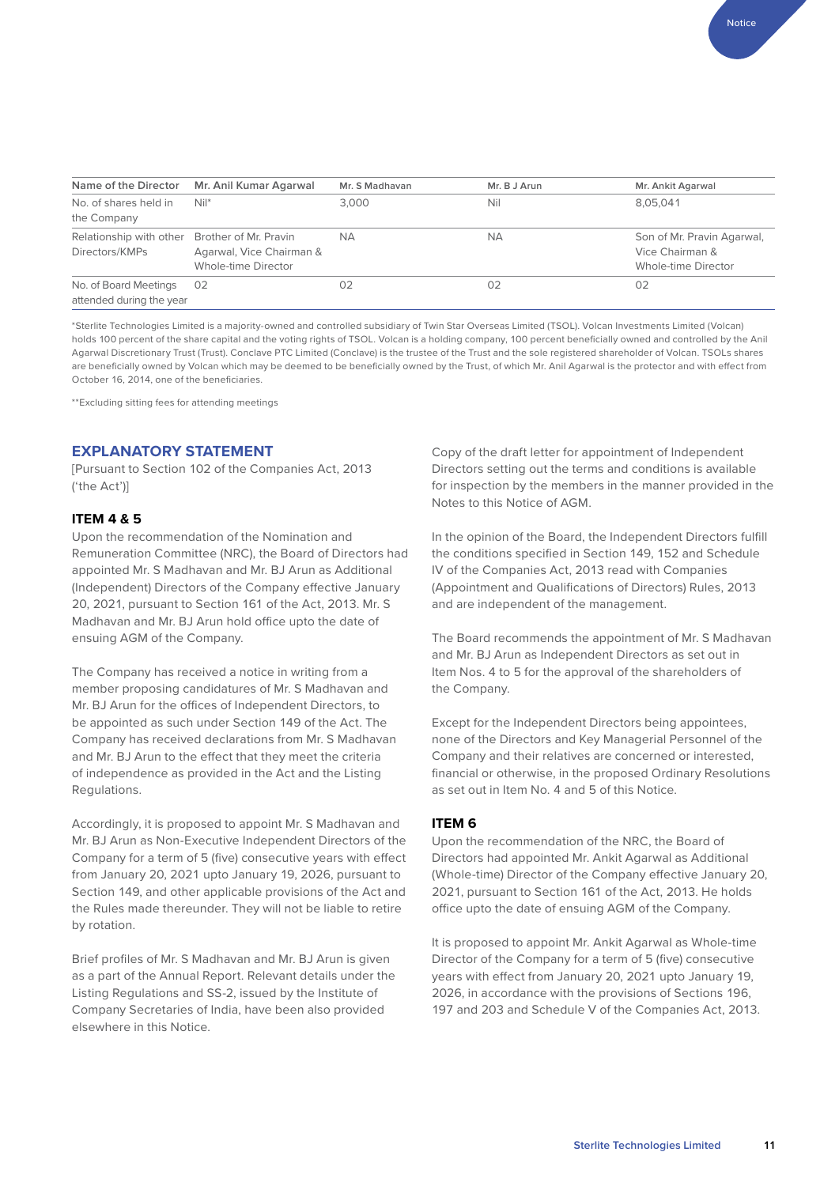| Name of the Director                                            | Mr. Anil Kumar Agarwal                          | Mr. S Madhavan | Mr. B J Arun | Mr. Ankit Agarwal                                                    |
|-----------------------------------------------------------------|-------------------------------------------------|----------------|--------------|----------------------------------------------------------------------|
| No. of shares held in<br>the Company                            | $Nil^*$                                         | 3.000          | Nil          | 8,05,041                                                             |
| Relationship with other Brother of Mr. Pravin<br>Directors/KMPs | Agarwal, Vice Chairman &<br>Whole-time Director | <b>NA</b>      | <b>NA</b>    | Son of Mr. Pravin Agarwal,<br>Vice Chairman &<br>Whole-time Director |
| No. of Board Meetings<br>attended during the year               | 02                                              | 02             | 02           | 02                                                                   |

\*Sterlite Technologies Limited is a majority-owned and controlled subsidiary of Twin Star Overseas Limited (TSOL). Volcan Investments Limited (Volcan) holds 100 percent of the share capital and the voting rights of TSOL. Volcan is a holding company, 100 percent beneficially owned and controlled by the Anil Agarwal Discretionary Trust (Trust). Conclave PTC Limited (Conclave) is the trustee of the Trust and the sole registered shareholder of Volcan. TSOLs shares are beneficially owned by Volcan which may be deemed to be beneficially owned by the Trust, of which Mr. Anil Agarwal is the protector and with effect from October 16, 2014, one of the beneficiaries.

\*\*Excluding sitting fees for attending meetings

#### **EXPLANATORY STATEMENT**

[Pursuant to Section 102 of the Companies Act, 2013 ('the Act')]

#### **ITEM 4 & 5**

Upon the recommendation of the Nomination and Remuneration Committee (NRC), the Board of Directors had appointed Mr. S Madhavan and Mr. BJ Arun as Additional (Independent) Directors of the Company effective January 20, 2021, pursuant to Section 161 of the Act, 2013. Mr. S Madhavan and Mr. BJ Arun hold office upto the date of ensuing AGM of the Company.

The Company has received a notice in writing from a member proposing candidatures of Mr. S Madhavan and Mr. BJ Arun for the offices of Independent Directors, to be appointed as such under Section 149 of the Act. The Company has received declarations from Mr. S Madhavan and Mr. BJ Arun to the effect that they meet the criteria of independence as provided in the Act and the Listing Regulations.

Accordingly, it is proposed to appoint Mr. S Madhavan and Mr. BJ Arun as Non-Executive Independent Directors of the Company for a term of 5 (five) consecutive years with effect from January 20, 2021 upto January 19, 2026, pursuant to Section 149, and other applicable provisions of the Act and the Rules made thereunder. They will not be liable to retire by rotation.

Brief profiles of Mr. S Madhavan and Mr. BJ Arun is given as a part of the Annual Report. Relevant details under the Listing Regulations and SS-2, issued by the Institute of Company Secretaries of India, have been also provided elsewhere in this Notice.

Copy of the draft letter for appointment of Independent Directors setting out the terms and conditions is available for inspection by the members in the manner provided in the Notes to this Notice of AGM.

In the opinion of the Board, the Independent Directors fulfill the conditions specified in Section 149, 152 and Schedule IV of the Companies Act, 2013 read with Companies (Appointment and Qualifications of Directors) Rules, 2013 and are independent of the management.

The Board recommends the appointment of Mr. S Madhavan and Mr. BJ Arun as Independent Directors as set out in Item Nos. 4 to 5 for the approval of the shareholders of the Company.

Except for the Independent Directors being appointees, none of the Directors and Key Managerial Personnel of the Company and their relatives are concerned or interested, financial or otherwise, in the proposed Ordinary Resolutions as set out in Item No. 4 and 5 of this Notice.

#### **ITEM 6**

Upon the recommendation of the NRC, the Board of Directors had appointed Mr. Ankit Agarwal as Additional (Whole-time) Director of the Company effective January 20, 2021, pursuant to Section 161 of the Act, 2013. He holds office upto the date of ensuing AGM of the Company.

It is proposed to appoint Mr. Ankit Agarwal as Whole-time Director of the Company for a term of 5 (five) consecutive years with effect from January 20, 2021 upto January 19, 2026, in accordance with the provisions of Sections 196, 197 and 203 and Schedule V of the Companies Act, 2013.

Notice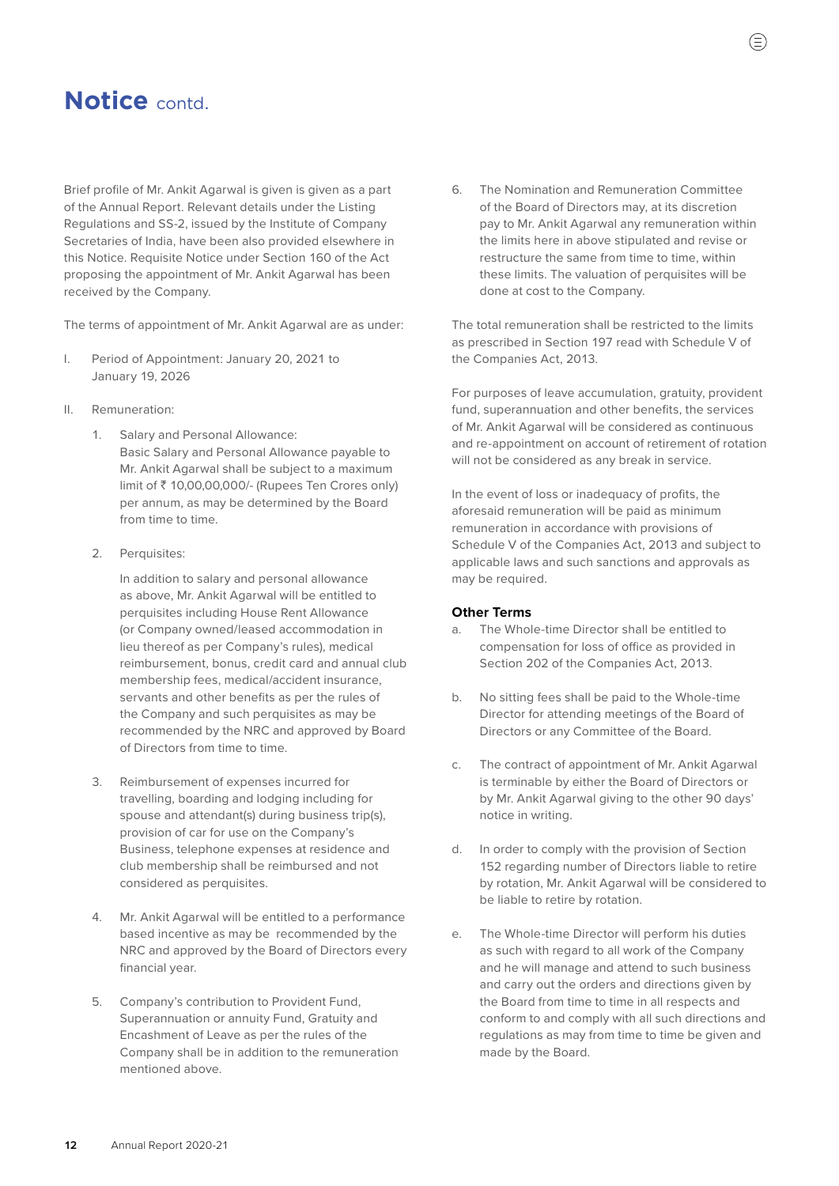Brief profile of Mr. Ankit Agarwal is given is given as a part of the Annual Report. Relevant details under the Listing Regulations and SS-2, issued by the Institute of Company Secretaries of India, have been also provided elsewhere in this Notice. Requisite Notice under Section 160 of the Act proposing the appointment of Mr. Ankit Agarwal has been received by the Company.

The terms of appointment of Mr. Ankit Agarwal are as under:

- I. Period of Appointment: January 20, 2021 to January 19, 2026
- II. Remuneration:
	- 1. Salary and Personal Allowance: Basic Salary and Personal Allowance payable to Mr. Ankit Agarwal shall be subject to a maximum limit of ` 10,00,00,000/- (Rupees Ten Crores only) per annum, as may be determined by the Board from time to time.
	- 2. Perquisites:

 In addition to salary and personal allowance as above, Mr. Ankit Agarwal will be entitled to perquisites including House Rent Allowance (or Company owned/leased accommodation in lieu thereof as per Company's rules), medical reimbursement, bonus, credit card and annual club membership fees, medical/accident insurance, servants and other benefits as per the rules of the Company and such perquisites as may be recommended by the NRC and approved by Board of Directors from time to time.

- 3. Reimbursement of expenses incurred for travelling, boarding and lodging including for spouse and attendant(s) during business trip(s), provision of car for use on the Company's Business, telephone expenses at residence and club membership shall be reimbursed and not considered as perquisites.
- 4. Mr. Ankit Agarwal will be entitled to a performance based incentive as may be recommended by the NRC and approved by the Board of Directors every financial year.
- 5. Company's contribution to Provident Fund, Superannuation or annuity Fund, Gratuity and Encashment of Leave as per the rules of the Company shall be in addition to the remuneration mentioned above.

6. The Nomination and Remuneration Committee of the Board of Directors may, at its discretion pay to Mr. Ankit Agarwal any remuneration within the limits here in above stipulated and revise or restructure the same from time to time, within these limits. The valuation of perquisites will be done at cost to the Company.

 The total remuneration shall be restricted to the limits as prescribed in Section 197 read with Schedule V of the Companies Act, 2013.

 For purposes of leave accumulation, gratuity, provident fund, superannuation and other benefits, the services of Mr. Ankit Agarwal will be considered as continuous and re-appointment on account of retirement of rotation will not be considered as any break in service.

 In the event of loss or inadequacy of profits, the aforesaid remuneration will be paid as minimum remuneration in accordance with provisions of Schedule V of the Companies Act, 2013 and subject to applicable laws and such sanctions and approvals as may be required.

#### **Other Terms**

- a. The Whole-time Director shall be entitled to compensation for loss of office as provided in Section 202 of the Companies Act, 2013.
- b. No sitting fees shall be paid to the Whole-time Director for attending meetings of the Board of Directors or any Committee of the Board.
- c. The contract of appointment of Mr. Ankit Agarwal is terminable by either the Board of Directors or by Mr. Ankit Agarwal giving to the other 90 days' notice in writing.
- d. In order to comply with the provision of Section 152 regarding number of Directors liable to retire by rotation, Mr. Ankit Agarwal will be considered to be liable to retire by rotation.
- e. The Whole-time Director will perform his duties as such with regard to all work of the Company and he will manage and attend to such business and carry out the orders and directions given by the Board from time to time in all respects and conform to and comply with all such directions and regulations as may from time to time be given and made by the Board.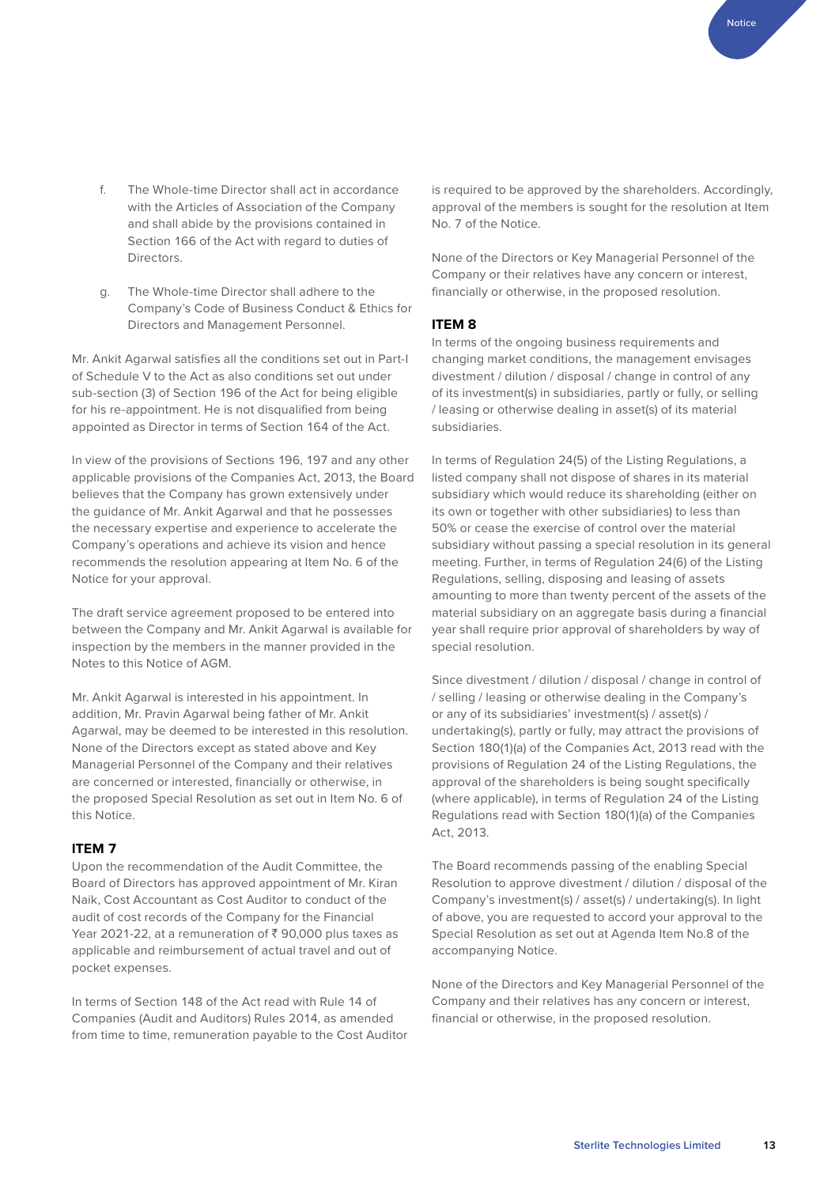- f. The Whole-time Director shall act in accordance with the Articles of Association of the Company and shall abide by the provisions contained in Section 166 of the Act with regard to duties of Directors.
- g. The Whole-time Director shall adhere to the Company's Code of Business Conduct & Ethics for Directors and Management Personnel.

Mr. Ankit Agarwal satisfies all the conditions set out in Part-I of Schedule V to the Act as also conditions set out under sub-section (3) of Section 196 of the Act for being eligible for his re-appointment. He is not disqualified from being appointed as Director in terms of Section 164 of the Act.

In view of the provisions of Sections 196, 197 and any other applicable provisions of the Companies Act, 2013, the Board believes that the Company has grown extensively under the guidance of Mr. Ankit Agarwal and that he possesses the necessary expertise and experience to accelerate the Company's operations and achieve its vision and hence recommends the resolution appearing at Item No. 6 of the Notice for your approval.

The draft service agreement proposed to be entered into between the Company and Mr. Ankit Agarwal is available for inspection by the members in the manner provided in the Notes to this Notice of AGM.

Mr. Ankit Agarwal is interested in his appointment. In addition, Mr. Pravin Agarwal being father of Mr. Ankit Agarwal, may be deemed to be interested in this resolution. None of the Directors except as stated above and Key Managerial Personnel of the Company and their relatives are concerned or interested, financially or otherwise, in the proposed Special Resolution as set out in Item No. 6 of this Notice.

#### **ITEM 7**

Upon the recommendation of the Audit Committee, the Board of Directors has approved appointment of Mr. Kiran Naik, Cost Accountant as Cost Auditor to conduct of the audit of cost records of the Company for the Financial Year 2021-22, at a remuneration of  $\bar{\xi}$  90,000 plus taxes as applicable and reimbursement of actual travel and out of pocket expenses.

In terms of Section 148 of the Act read with Rule 14 of Companies (Audit and Auditors) Rules 2014, as amended from time to time, remuneration payable to the Cost Auditor

is required to be approved by the shareholders. Accordingly, approval of the members is sought for the resolution at Item No. 7 of the Notice.

None of the Directors or Key Managerial Personnel of the Company or their relatives have any concern or interest, financially or otherwise, in the proposed resolution.

#### **ITEM 8**

In terms of the ongoing business requirements and changing market conditions, the management envisages divestment / dilution / disposal / change in control of any of its investment(s) in subsidiaries, partly or fully, or selling / leasing or otherwise dealing in asset(s) of its material subsidiaries.

In terms of Regulation 24(5) of the Listing Regulations, a listed company shall not dispose of shares in its material subsidiary which would reduce its shareholding (either on its own or together with other subsidiaries) to less than 50% or cease the exercise of control over the material subsidiary without passing a special resolution in its general meeting. Further, in terms of Regulation 24(6) of the Listing Regulations, selling, disposing and leasing of assets amounting to more than twenty percent of the assets of the material subsidiary on an aggregate basis during a financial year shall require prior approval of shareholders by way of special resolution.

Since divestment / dilution / disposal / change in control of / selling / leasing or otherwise dealing in the Company's or any of its subsidiaries' investment(s) / asset(s) / undertaking(s), partly or fully, may attract the provisions of Section 180(1)(a) of the Companies Act, 2013 read with the provisions of Regulation 24 of the Listing Regulations, the approval of the shareholders is being sought specifically (where applicable), in terms of Regulation 24 of the Listing Regulations read with Section 180(1)(a) of the Companies Act, 2013.

The Board recommends passing of the enabling Special Resolution to approve divestment / dilution / disposal of the Company's investment(s) / asset(s) / undertaking(s). In light of above, you are requested to accord your approval to the Special Resolution as set out at Agenda Item No.8 of the accompanying Notice.

None of the Directors and Key Managerial Personnel of the Company and their relatives has any concern or interest, financial or otherwise, in the proposed resolution.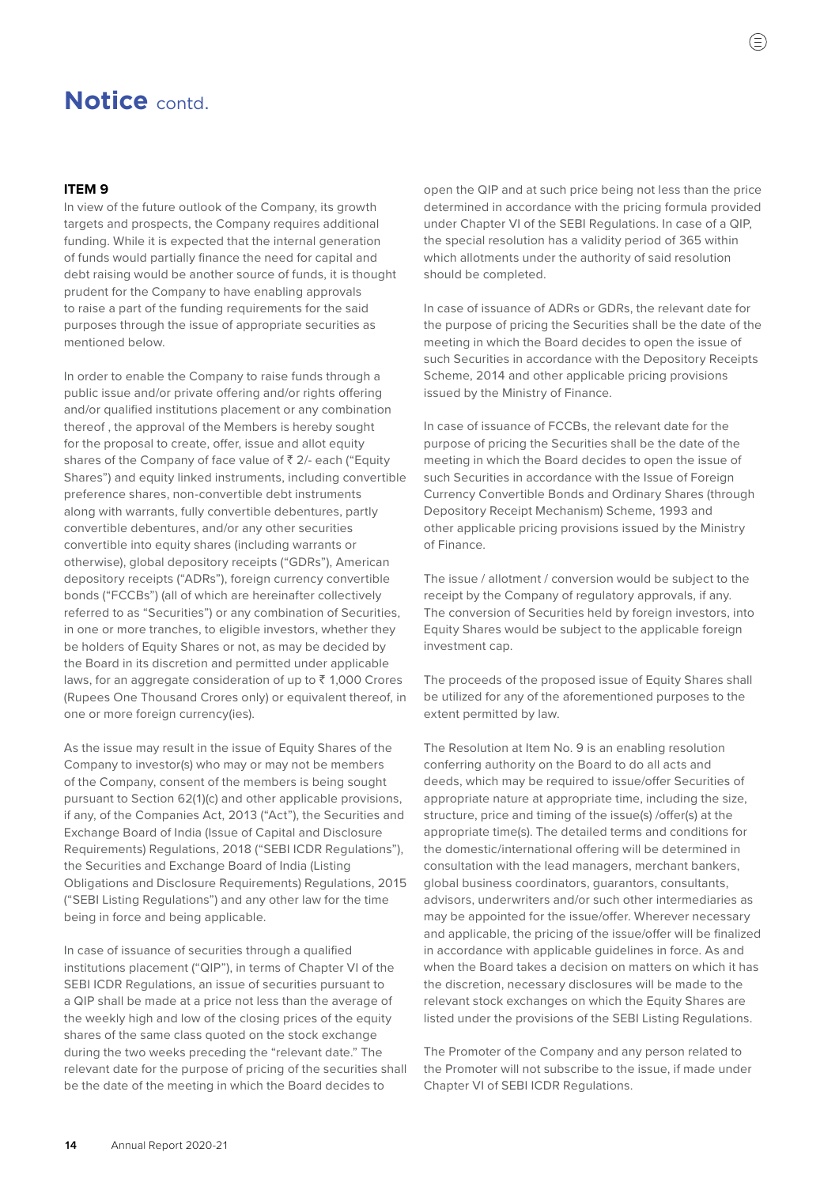#### **ITEM 9**

In view of the future outlook of the Company, its growth targets and prospects, the Company requires additional funding. While it is expected that the internal generation of funds would partially finance the need for capital and debt raising would be another source of funds, it is thought prudent for the Company to have enabling approvals to raise a part of the funding requirements for the said purposes through the issue of appropriate securities as mentioned below.

In order to enable the Company to raise funds through a public issue and/or private offering and/or rights offering and/or qualified institutions placement or any combination thereof , the approval of the Members is hereby sought for the proposal to create, offer, issue and allot equity shares of the Company of face value of  $\bar{z}$  2/- each ("Equity Shares") and equity linked instruments, including convertible preference shares, non-convertible debt instruments along with warrants, fully convertible debentures, partly convertible debentures, and/or any other securities convertible into equity shares (including warrants or otherwise), global depository receipts ("GDRs"), American depository receipts ("ADRs"), foreign currency convertible bonds ("FCCBs") (all of which are hereinafter collectively referred to as "Securities") or any combination of Securities, in one or more tranches, to eligible investors, whether they be holders of Equity Shares or not, as may be decided by the Board in its discretion and permitted under applicable laws, for an aggregate consideration of up to  $\bar{z}$  1,000 Crores (Rupees One Thousand Crores only) or equivalent thereof, in one or more foreign currency(ies).

As the issue may result in the issue of Equity Shares of the Company to investor(s) who may or may not be members of the Company, consent of the members is being sought pursuant to Section 62(1)(c) and other applicable provisions, if any, of the Companies Act, 2013 ("Act"), the Securities and Exchange Board of India (Issue of Capital and Disclosure Requirements) Regulations, 2018 ("SEBI ICDR Regulations"), the Securities and Exchange Board of India (Listing Obligations and Disclosure Requirements) Regulations, 2015 ("SEBI Listing Regulations") and any other law for the time being in force and being applicable.

In case of issuance of securities through a qualified institutions placement ("QIP"), in terms of Chapter VI of the SEBI ICDR Regulations, an issue of securities pursuant to a QIP shall be made at a price not less than the average of the weekly high and low of the closing prices of the equity shares of the same class quoted on the stock exchange during the two weeks preceding the "relevant date." The relevant date for the purpose of pricing of the securities shall be the date of the meeting in which the Board decides to

open the QIP and at such price being not less than the price determined in accordance with the pricing formula provided under Chapter VI of the SEBI Regulations. In case of a QIP, the special resolution has a validity period of 365 within which allotments under the authority of said resolution should be completed.

In case of issuance of ADRs or GDRs, the relevant date for the purpose of pricing the Securities shall be the date of the meeting in which the Board decides to open the issue of such Securities in accordance with the Depository Receipts Scheme, 2014 and other applicable pricing provisions issued by the Ministry of Finance.

In case of issuance of FCCBs, the relevant date for the purpose of pricing the Securities shall be the date of the meeting in which the Board decides to open the issue of such Securities in accordance with the Issue of Foreign Currency Convertible Bonds and Ordinary Shares (through Depository Receipt Mechanism) Scheme, 1993 and other applicable pricing provisions issued by the Ministry of Finance.

The issue / allotment / conversion would be subject to the receipt by the Company of regulatory approvals, if any. The conversion of Securities held by foreign investors, into Equity Shares would be subject to the applicable foreign investment cap.

The proceeds of the proposed issue of Equity Shares shall be utilized for any of the aforementioned purposes to the extent permitted by law.

The Resolution at Item No. 9 is an enabling resolution conferring authority on the Board to do all acts and deeds, which may be required to issue/offer Securities of appropriate nature at appropriate time, including the size, structure, price and timing of the issue(s) /offer(s) at the appropriate time(s). The detailed terms and conditions for the domestic/international offering will be determined in consultation with the lead managers, merchant bankers, global business coordinators, guarantors, consultants, advisors, underwriters and/or such other intermediaries as may be appointed for the issue/offer. Wherever necessary and applicable, the pricing of the issue/offer will be finalized in accordance with applicable guidelines in force. As and when the Board takes a decision on matters on which it has the discretion, necessary disclosures will be made to the relevant stock exchanges on which the Equity Shares are listed under the provisions of the SEBI Listing Regulations.

The Promoter of the Company and any person related to the Promoter will not subscribe to the issue, if made under Chapter VI of SEBI ICDR Regulations.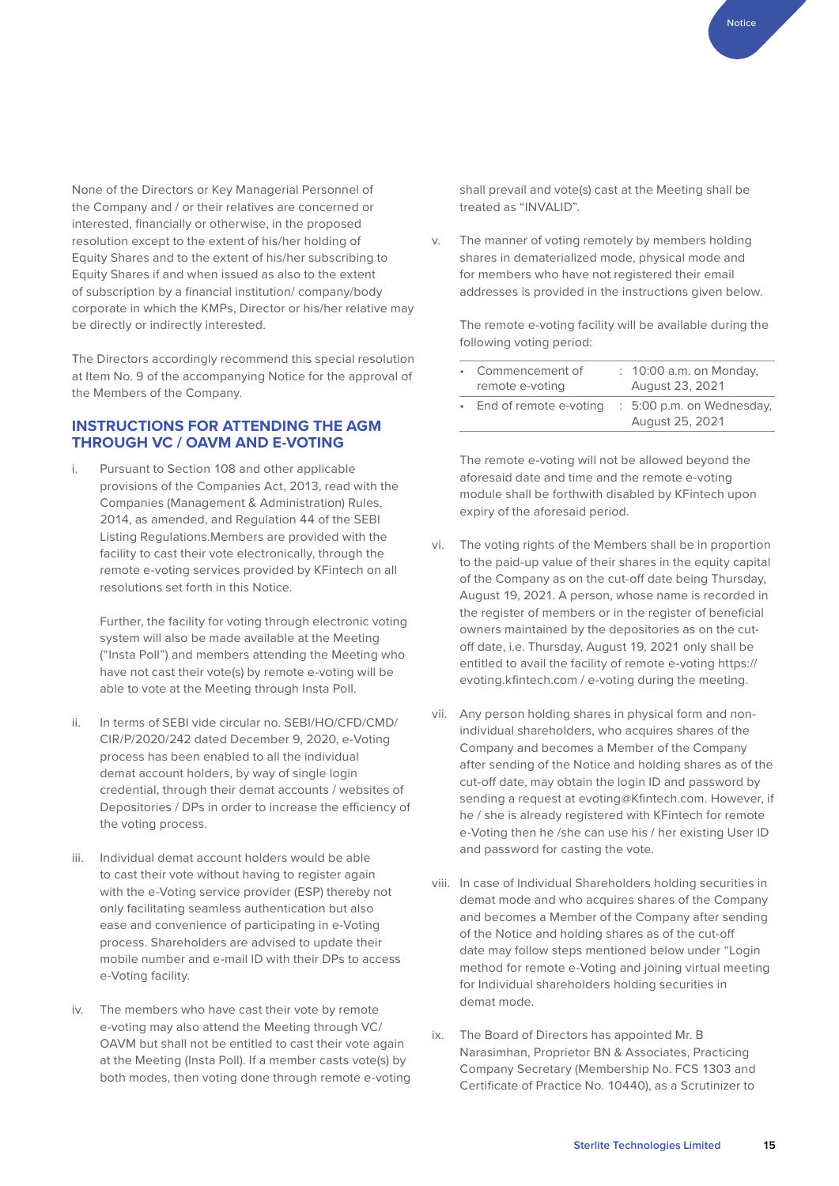None of the Directors or Key Managerial Personnel of the Company and / or their relatives are concerned or interested, financially or otherwise, in the proposed resolution except to the extent of his/her holding of Equity Shares and to the extent of his/her subscribing to Equity Shares if and when issued as also to the extent of subscription by a financial institution/ company/body corporate in which the KMPs, Director or his/her relative may be directly or indirectly interested.

The Directors accordingly recommend this special resolution at Item No. 9 of the accompanying Notice for the approval of the Members of the Company.

#### **INSTRUCTIONS FOR ATTENDING THE AGM THROUGH VC / OAVM AND E-VOTING**

i. Pursuant to Section 108 and other applicable provisions of the Companies Act, 2013, read with the Companies (Management & Administration) Rules, 2014, as amended, and Regulation 44 of the SEBI Listing Regulations.Members are provided with the facility to cast their vote electronically, through the remote e-voting services provided by KFintech on all resolutions set forth in this Notice.

 Further, the facility for voting through electronic voting system will also be made available at the Meeting ("Insta Poll") and members attending the Meeting who have not cast their vote(s) by remote e-voting will be able to vote at the Meeting through Insta Poll.

- ii. In terms of SEBI vide circular no. SEBI/HO/CFD/CMD/ CIR/P/2020/242 dated December 9, 2020, e-Voting process has been enabled to all the individual demat account holders, by way of single login credential, through their demat accounts / websites of Depositories / DPs in order to increase the efficiency of the voting process.
- iii. Individual demat account holders would be able to cast their vote without having to register again with the e-Voting service provider (ESP) thereby not only facilitating seamless authentication but also ease and convenience of participating in e-Voting process. Shareholders are advised to update their mobile number and e-mail ID with their DPs to access e-Voting facility.
- iv. The members who have cast their vote by remote e-voting may also attend the Meeting through VC/ OAVM but shall not be entitled to cast their vote again at the Meeting (Insta Poll). If a member casts vote(s) by both modes, then voting done through remote e-voting

shall prevail and vote(s) cast at the Meeting shall be treated as "INVALID".

v. The manner of voting remotely by members holding shares in dematerialized mode, physical mode and for members who have not registered their email addresses is provided in the instructions given below.

 The remote e-voting facility will be available during the following voting period:

| • Commencement of<br>remote e-voting | : 10:00 a.m. on Monday,<br>August 23, 2021   |
|--------------------------------------|----------------------------------------------|
| • End of remote e-voting             | : 5:00 p.m. on Wednesday,<br>August 25, 2021 |

 The remote e-voting will not be allowed beyond the aforesaid date and time and the remote e-voting module shall be forthwith disabled by KFintech upon expiry of the aforesaid period.

- vi. The voting rights of the Members shall be in proportion to the paid-up value of their shares in the equity capital of the Company as on the cut-off date being Thursday, August 19, 2021. A person, whose name is recorded in the register of members or in the register of beneficial owners maintained by the depositories as on the cutoff date, i.e. Thursday, August 19, 2021 only shall be entitled to avail the facility of remote e-voting [https://](https://evoting.kfintech.com) [evoting.kfintech.com](https://evoting.kfintech.com) / e-voting during the meeting.
- vii. Any person holding shares in physical form and nonindividual shareholders, who acquires shares of the Company and becomes a Member of the Company after sending of the Notice and holding shares as of the cut-off date, may obtain the login ID and password by sending a request at evoting@Kfintech.com. However, if he / she is already registered with KFintech for remote e-Voting then he /she can use his / her existing User ID and password for casting the vote.
- viii. In case of Individual Shareholders holding securities in demat mode and who acquires shares of the Company and becomes a Member of the Company after sending of the Notice and holding shares as of the cut-off date may follow steps mentioned below under "Login method for remote e-Voting and joining virtual meeting for Individual shareholders holding securities in demat mode.
- ix. The Board of Directors has appointed Mr. B Narasimhan, Proprietor BN & Associates, Practicing Company Secretary (Membership No. FCS 1303 and Certificate of Practice No. 10440), as a Scrutinizer to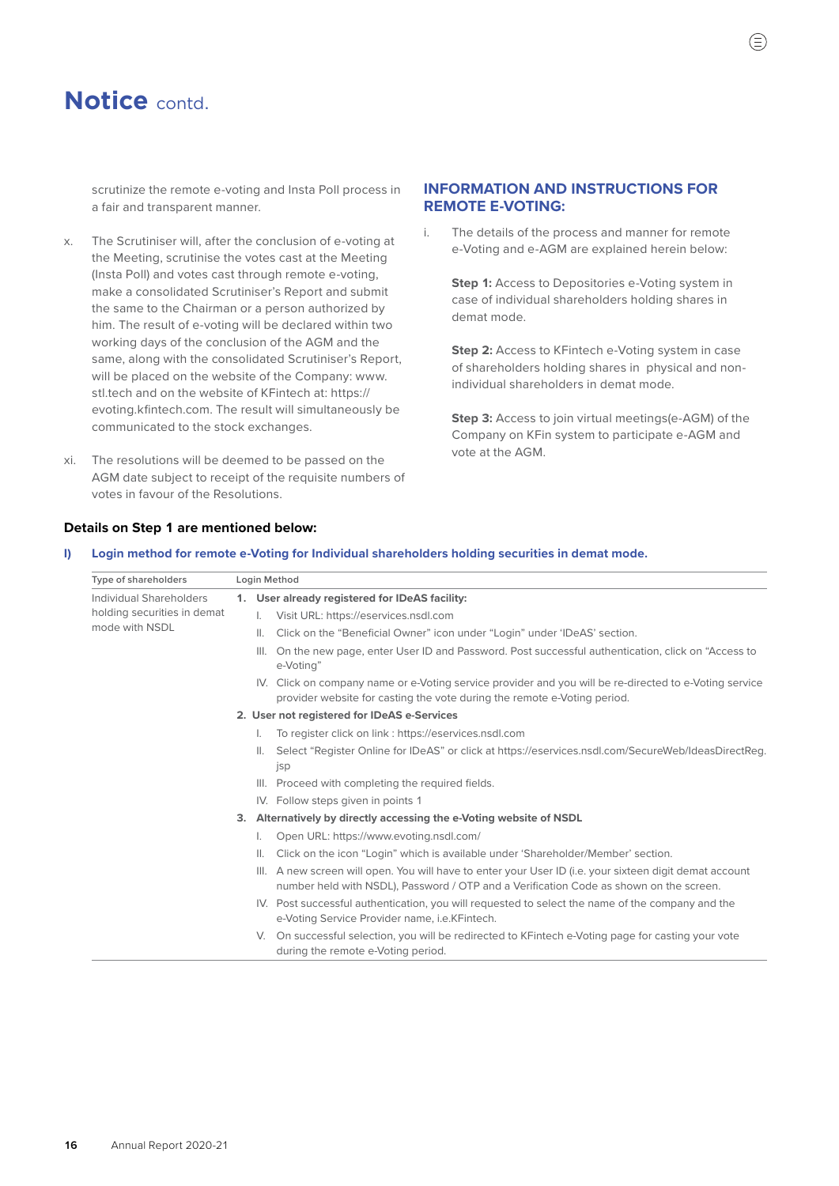scrutinize the remote e-voting and Insta Poll process in a fair and transparent manner.

- x. The Scrutiniser will, after the conclusion of e-voting at the Meeting, scrutinise the votes cast at the Meeting (Insta Poll) and votes cast through remote e-voting, make a consolidated Scrutiniser's Report and submit the same to the Chairman or a person authorized by him. The result of e-voting will be declared within two working days of the conclusion of the AGM and the same, along with the consolidated Scrutiniser's Report, will be placed on the website of the Company: [www.](http://www.stl.tech) [stl.tech](http://www.stl.tech) and on the website of KFintech at: [https://](https://evoting.kfintech.com) [evoting.kfintech.com.](https://evoting.kfintech.com) The result will simultaneously be communicated to the stock exchanges.
- xi. The resolutions will be deemed to be passed on the AGM date subject to receipt of the requisite numbers of votes in favour of the Resolutions.

### **INFORMATION AND INSTRUCTIONS FOR REMOTE E-VOTING:**

i. The details of the process and manner for remote e-Voting and e-AGM are explained herein below:

**Step 1:** Access to Depositories e-Voting system in case of individual shareholders holding shares in demat mode.

**Step 2:** Access to KFintech e-Voting system in case of shareholders holding shares in physical and nonindividual shareholders in demat mode.

**Step 3:** Access to join virtual meetings(e-AGM) of the Company on KFin system to participate e-AGM and vote at the AGM.

#### **Details on Step 1 are mentioned below:**

#### **I) Login method for remote e-Voting for Individual shareholders holding securities in demat mode.**

| Type of shareholders                          |  | Login Method                                                                                                                                                                                      |  |  |
|-----------------------------------------------|--|---------------------------------------------------------------------------------------------------------------------------------------------------------------------------------------------------|--|--|
| Individual Shareholders                       |  | 1. User already registered for IDeAS facility:                                                                                                                                                    |  |  |
| holding securities in demat<br>mode with NSDL |  | I. Visit URL: https://eservices.nsdl.com                                                                                                                                                          |  |  |
|                                               |  | Click on the "Beneficial Owner" icon under "Login" under 'IDeAS' section.<br>$\mathbf{II}$ .                                                                                                      |  |  |
|                                               |  | On the new page, enter User ID and Password. Post successful authentication, click on "Access to<br>III.<br>e-Votina"                                                                             |  |  |
|                                               |  | IV. Click on company name or e-Voting service provider and you will be re-directed to e-Voting service<br>provider website for casting the vote during the remote e-Voting period.                |  |  |
|                                               |  | 2. User not registered for IDeAS e-Services                                                                                                                                                       |  |  |
|                                               |  | To register click on link : https://eservices.nsdl.com<br>L.                                                                                                                                      |  |  |
|                                               |  | Select "Register Online for IDeAS" or click at https://eservices.nsdl.com/SecureWeb/IdeasDirectReg.<br>jsp                                                                                        |  |  |
|                                               |  | III. Proceed with completing the required fields.                                                                                                                                                 |  |  |
|                                               |  | IV. Follow steps given in points 1                                                                                                                                                                |  |  |
|                                               |  | 3. Alternatively by directly accessing the e-Voting website of NSDL                                                                                                                               |  |  |
|                                               |  | Open URL: https://www.evoting.nsdl.com/                                                                                                                                                           |  |  |
|                                               |  | Click on the icon "Login" which is available under 'Shareholder/Member' section.<br>$\mathbb{H}$ .                                                                                                |  |  |
|                                               |  | III. A new screen will open. You will have to enter your User ID (i.e. your sixteen digit demat account<br>number held with NSDL), Password / OTP and a Verification Code as shown on the screen. |  |  |
|                                               |  | IV. Post successful authentication, you will requested to select the name of the company and the<br>e-Voting Service Provider name, <i>i.e.KFintech.</i>                                          |  |  |
|                                               |  | V. On successful selection, you will be redirected to KFintech e-Voting page for casting your vote<br>during the remote e-Voting period.                                                          |  |  |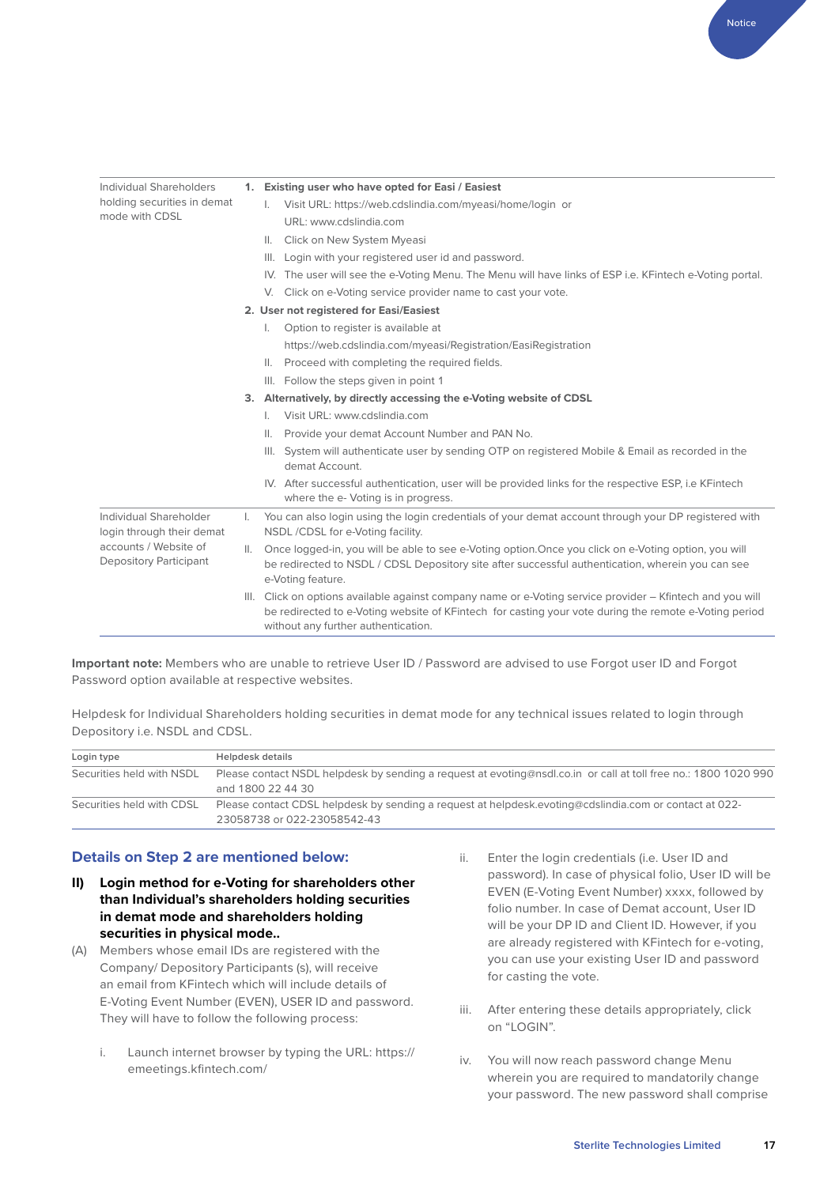| Individual Shareholders                                |                | 1. Existing user who have opted for Easi / Easiest                                                                                                                                                                                                        |
|--------------------------------------------------------|----------------|-----------------------------------------------------------------------------------------------------------------------------------------------------------------------------------------------------------------------------------------------------------|
| holding securities in demat<br>mode with CDSL          |                | Visit URL: https://web.cdslindia.com/myeasi/home/login_or                                                                                                                                                                                                 |
|                                                        |                | URL: www.cdslindia.com                                                                                                                                                                                                                                    |
|                                                        |                | Click on New System Myeasi<br>$\mathbb{H}$ .                                                                                                                                                                                                              |
|                                                        |                | III. Login with your registered user id and password.                                                                                                                                                                                                     |
|                                                        |                | IV. The user will see the e-Voting Menu. The Menu will have links of ESP i.e. KFintech e-Voting portal.                                                                                                                                                   |
|                                                        |                | V. Click on e-Voting service provider name to cast your vote.                                                                                                                                                                                             |
|                                                        |                | 2. User not registered for Easi/Easiest                                                                                                                                                                                                                   |
|                                                        |                | Option to register is available at<br>I.                                                                                                                                                                                                                  |
|                                                        |                | https://web.cdslindia.com/myeasi/Registration/EasiRegistration                                                                                                                                                                                            |
|                                                        |                | II. Proceed with completing the required fields.                                                                                                                                                                                                          |
|                                                        |                | III. Follow the steps given in point 1                                                                                                                                                                                                                    |
|                                                        |                | 3. Alternatively, by directly accessing the e-Voting website of CDSL                                                                                                                                                                                      |
|                                                        |                | Visit URL: www.cdslindia.com                                                                                                                                                                                                                              |
|                                                        |                | Provide your demat Account Number and PAN No.<br>Ш.                                                                                                                                                                                                       |
|                                                        |                | III. System will authenticate user by sending OTP on registered Mobile & Email as recorded in the<br>demat Account.                                                                                                                                       |
|                                                        |                | IV. After successful authentication, user will be provided links for the respective ESP, i.e KFintech<br>where the e- Voting is in progress.                                                                                                              |
| Individual Shareholder<br>login through their demat    | I.             | You can also login using the login credentials of your demat account through your DP registered with<br>NSDL /CDSL for e-Voting facility.                                                                                                                 |
| accounts / Website of<br><b>Depository Participant</b> | $\mathbb{H}$ . | Once logged-in, you will be able to see e-Voting option. Once you click on e-Voting option, you will<br>be redirected to NSDL / CDSL Depository site after successful authentication, wherein you can see<br>e-Voting feature.                            |
|                                                        |                | III. Click on options available against company name or e-Voting service provider - Kfintech and you will<br>be redirected to e-Voting website of KFintech for casting your vote during the remote e-Voting period<br>without any further authentication. |

**Important note:** Members who are unable to retrieve User ID / Password are advised to use Forgot user ID and Forgot Password option available at respective websites.

Helpdesk for Individual Shareholders holding securities in demat mode for any technical issues related to login through Depository i.e. NSDL and CDSL.

| Login type                | Helpdesk details                                                                                                                          |
|---------------------------|-------------------------------------------------------------------------------------------------------------------------------------------|
| Securities held with NSDL | Please contact NSDL helpdesk by sending a request at evoting@nsdl.co.in or call at toll free no.: 1800 1020 990<br>and 1800 22 44 30      |
| Securities held with CDSL | -22- Please contact CDSL helpdesk by sending a request at helpdesk.evoting@cdslindia.com or contact at 022<br>23058738 or 022-23058542-43 |

#### **Details on Step 2 are mentioned below:**

- **II) Login method for e-Voting for shareholders other than Individual's shareholders holding securities in demat mode and shareholders holding securities in physical mode..**
- (A) Members whose email IDs are registered with the Company/ Depository Participants (s), will receive an email from KFintech which will include details of E-Voting Event Number (EVEN), USER ID and password. They will have to follow the following process:
	- i. Launch internet browser by typing the URL: [https://](https://emeetings.kfintech.com/) [emeetings.kfintech.com/](https://emeetings.kfintech.com/)
- ii. Enter the login credentials (i.e. User ID and password). In case of physical folio, User ID will be EVEN (E-Voting Event Number) xxxx, followed by folio number. In case of Demat account, User ID will be your DP ID and Client ID. However, if you are already registered with KFintech for e-voting, you can use your existing User ID and password for casting the vote.
- iii. After entering these details appropriately, click on "LOGIN".
- iv. You will now reach password change Menu wherein you are required to mandatorily change your password. The new password shall comprise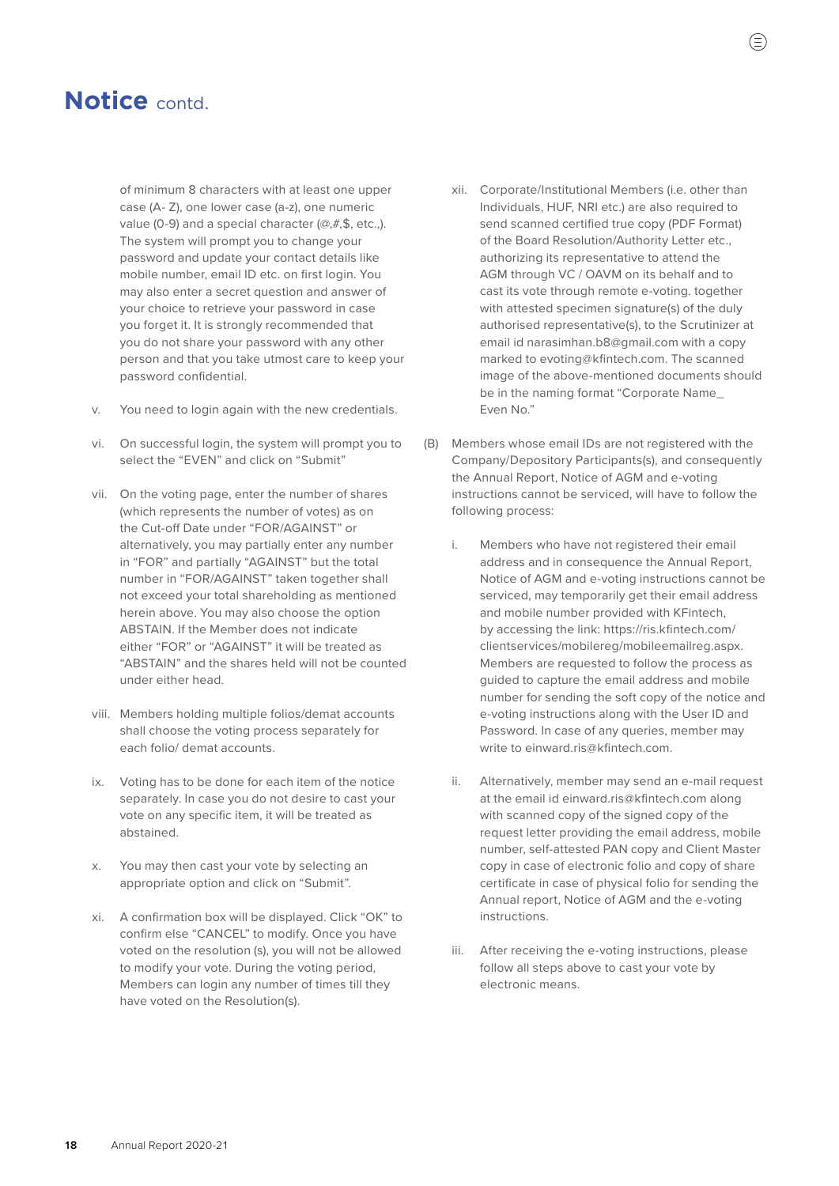of minimum 8 characters with at least one upper case (A- Z), one lower case (a-z), one numeric value (0-9) and a special character (@,#,\$, etc.,). The system will prompt you to change your password and update your contact details like mobile number, email ID etc. on first login. You may also enter a secret question and answer of your choice to retrieve your password in case you forget it. It is strongly recommended that you do not share your password with any other person and that you take utmost care to keep your password confidential.

- v. You need to login again with the new credentials.
- vi. On successful login, the system will prompt you to select the "EVEN" and click on "Submit"
- vii. On the voting page, enter the number of shares (which represents the number of votes) as on the Cut-off Date under "FOR/AGAINST" or alternatively, you may partially enter any number in "FOR" and partially "AGAINST" but the total number in "FOR/AGAINST" taken together shall not exceed your total shareholding as mentioned herein above. You may also choose the option ABSTAIN. If the Member does not indicate either "FOR" or "AGAINST" it will be treated as "ABSTAIN" and the shares held will not be counted under either head.
- viii. Members holding multiple folios/demat accounts shall choose the voting process separately for each folio/ demat accounts.
- ix. Voting has to be done for each item of the notice separately. In case you do not desire to cast your vote on any specific item, it will be treated as abstained.
- x. You may then cast your vote by selecting an appropriate option and click on "Submit".
- xi. A confirmation box will be displayed. Click "OK" to confirm else "CANCEL" to modify. Once you have voted on the resolution (s), you will not be allowed to modify your vote. During the voting period, Members can login any number of times till they have voted on the Resolution(s).
- xii. Corporate/Institutional Members (i.e. other than Individuals, HUF, NRI etc.) are also required to send scanned certified true copy (PDF Format) of the Board Resolution/Authority Letter etc., authorizing its representative to attend the AGM through VC / OAVM on its behalf and to cast its vote through remote e-voting. together with attested specimen signature(s) of the duly authorised representative(s), to the Scrutinizer at email id [narasimhan.b8@gmail.com](mailto:narasimhan.b8%40gmail.com?subject=) with a copy marked to [evoting@kfintech.com.](http://evoting@kfintech.com) The scanned image of the above-mentioned documents should be in the naming format "Corporate Name\_ Even No."
- (B) Members whose email IDs are not registered with the Company/Depository Participants(s), and consequently the Annual Report, Notice of AGM and e-voting instructions cannot be serviced, will have to follow the following process:
	- i. Members who have not registered their email address and in consequence the Annual Report, Notice of AGM and e-voting instructions cannot be serviced, may temporarily get their email address and mobile number provided with KFintech, by accessing the link: [https://ris.kfintech.com/](https://ris.kfintech.com/clientservices/mobilereg/mobileemailreg.aspx) [clientservices/mobilereg/mobileemailreg.aspx.](https://ris.kfintech.com/clientservices/mobilereg/mobileemailreg.aspx) Members are requested to follow the process as guided to capture the email address and mobile number for sending the soft copy of the notice and e-voting instructions along with the User ID and Password. In case of any queries, member may write to [einward.ris@kfintech.com](http://einward.ris@kfintech.com).
	- ii. Alternatively, member may send an e-mail request at the email id [einward.ris@kfintech.com](mailto:einward.ris%40kfintech.com?subject=) along with scanned copy of the signed copy of the request letter providing the email address, mobile number, self-attested PAN copy and Client Master copy in case of electronic folio and copy of share certificate in case of physical folio for sending the Annual report, Notice of AGM and the e-voting instructions.
	- iii. After receiving the e-voting instructions, please follow all steps above to cast your vote by electronic means.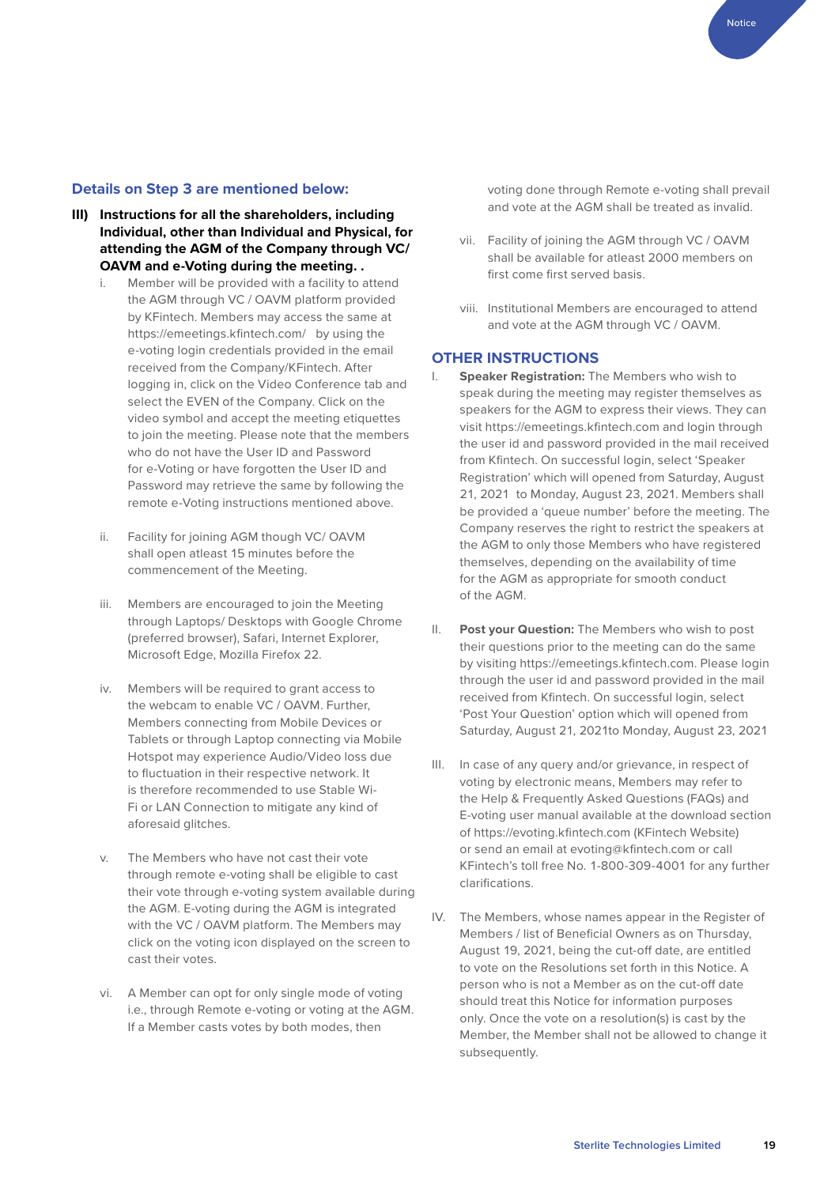Notice

### **Details on Step 3 are mentioned below:**

- **III) Instructions for all the shareholders, including Individual, other than Individual and Physical, for attending the AGM of the Company through VC/ OAVM and e-Voting during the meeting. .** 
	- i. Member will be provided with a facility to attend the AGM through VC / OAVM platform provided by KFintech. Members may access the same at <https://emeetings.kfintech.com/> by using the e-voting login credentials provided in the email received from the Company/KFintech. After logging in, click on the Video Conference tab and select the EVEN of the Company. Click on the video symbol and accept the meeting etiquettes to join the meeting. Please note that the members who do not have the User ID and Password for e-Voting or have forgotten the User ID and Password may retrieve the same by following the remote e-Voting instructions mentioned above.
	- ii. Facility for joining AGM though VC/ OAVM shall open atleast 15 minutes before the commencement of the Meeting.
	- iii. Members are encouraged to join the Meeting through Laptops/ Desktops with Google Chrome (preferred browser), Safari, Internet Explorer, Microsoft Edge, Mozilla Firefox 22.
	- iv. Members will be required to grant access to the webcam to enable VC / OAVM. Further, Members connecting from Mobile Devices or Tablets or through Laptop connecting via Mobile Hotspot may experience Audio/Video loss due to fluctuation in their respective network. It is therefore recommended to use Stable Wi-Fi or LAN Connection to mitigate any kind of aforesaid glitches.
	- v. The Members who have not cast their vote through remote e-voting shall be eligible to cast their vote through e-voting system available during the AGM. E-voting during the AGM is integrated with the VC / OAVM platform. The Members may click on the voting icon displayed on the screen to cast their votes.
	- vi. A Member can opt for only single mode of voting i.e., through Remote e-voting or voting at the AGM. If a Member casts votes by both modes, then

voting done through Remote e-voting shall prevail and vote at the AGM shall be treated as invalid.

- vii. Facility of joining the AGM through VC / OAVM shall be available for atleast 2000 members on first come first served basis.
- viii. Institutional Members are encouraged to attend and vote at the AGM through VC / OAVM.

### **OTHER INSTRUCTIONS**

- I. **Speaker Registration:** The Members who wish to speak during the meeting may register themselves as speakers for the AGM to express their views. They can visit<https://emeetings.kfintech.com> and login through the user id and password provided in the mail received from Kfintech. On successful login, select 'Speaker Registration' which will opened from Saturday, August 21, 2021 to Monday, August 23, 2021. Members shall be provided a 'queue number' before the meeting. The Company reserves the right to restrict the speakers at the AGM to only those Members who have registered themselves, depending on the availability of time for the AGM as appropriate for smooth conduct of the AGM.
- II. **Post your Question:** The Members who wish to post their questions prior to the meeting can do the same by visiting [https://emeetings.kfintech.com.](https://emeetings.kfintech.com) Please login through the user id and password provided in the mail received from Kfintech. On successful login, select 'Post Your Question' option which will opened from Saturday, August 21, 2021to Monday, August 23, 2021
- III. In case of any query and/or grievance, in respect of voting by electronic means, Members may refer to the Help & Frequently Asked Questions (FAQs) and E-voting user manual available at the download section of<https://evoting.kfintech.com>(KFintech Website) or send an email at [evoting@kfintech.com](http://evoting@kfintech.com) or call KFintech's toll free No. 1-800-309-4001 for any further clarifications.
- IV. The Members, whose names appear in the Register of Members / list of Beneficial Owners as on Thursday, August 19, 2021, being the cut-off date, are entitled to vote on the Resolutions set forth in this Notice. A person who is not a Member as on the cut-off date should treat this Notice for information purposes only. Once the vote on a resolution(s) is cast by the Member, the Member shall not be allowed to change it subsequently.